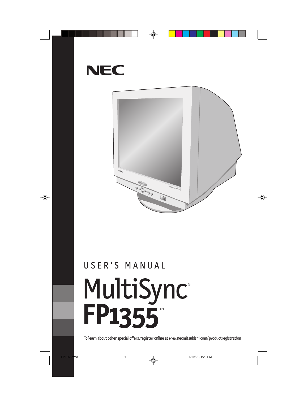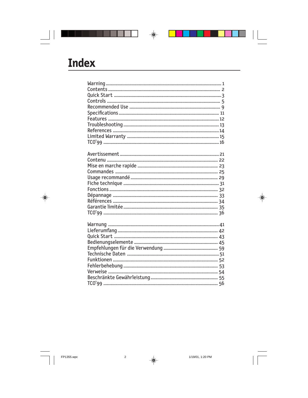# **Index**

<u> Timba k</u>

 $\begin{picture}(20,20) \put(0,0){\line(1,0){10}} \put(15,0){\line(1,0){10}} \put(15,0){\line(1,0){10}} \put(15,0){\line(1,0){10}} \put(15,0){\line(1,0){10}} \put(15,0){\line(1,0){10}} \put(15,0){\line(1,0){10}} \put(15,0){\line(1,0){10}} \put(15,0){\line(1,0){10}} \put(15,0){\line(1,0){10}} \put(15,0){\line(1,0){10}} \put(15,0){\line(1$ 

 $\Box$ 

<u> Time de la</u>

 $\Rightarrow$ 

 $\sqrt{2}$ 

1/19/01, 1:20 PM

 $\begin{array}{c|c} & \multicolumn{3}{c|}{\phantom{-}}\\ \hline \multicolumn{3}{c|}{\phantom{-}}\\ \hline \multicolumn{3}{c|}{\phantom{-}}\\ \hline \multicolumn{3}{c|}{\phantom{-}}\\ \hline \multicolumn{3}{c|}{\phantom{-}}\\ \hline \multicolumn{3}{c|}{\phantom{-}}\\ \hline \multicolumn{3}{c|}{\phantom{-}}\\ \hline \multicolumn{3}{c|}{\phantom{-}}\\ \hline \multicolumn{3}{c|}{\phantom{-}}\\ \hline \multicolumn{3}{c|}{\phantom{-}}\\ \hline \multicolumn{3}{c|}{\phantom{-}}\\ \hline \$ 

 $\frac{1}{\sqrt{1-\frac{1}{2}}}$ 

 $\overrightarrow{a}$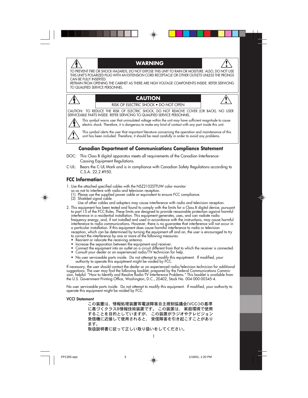### **WARNING**

TO PREVENT FIRE OR SHOCK HAZARDS, DO NOT EXPOSE THIS UNIT TO RAIN OR MOISTURE. ALSO, DO NOT USE THIS UNIT'S POLARIZED PLUG WITH AN EXTENSION CORD RECEPTACLE OR OTHER OUTLETS UNLESS THE PRONGS CAN BE FULLY INSERTED.

REFRAIN FROM OPENING THE CABINET AS THERE ARE HIGH VOLTAGE COMPONENTS INSIDE. REFER SERVICING TO QUALIFIED SERVICE PERSONNEL.

### **CAUTION** RISK OF ELECTRIC SHOCK • DO NOT OPEN

CAUTION: TO REDUCE THE RISK OF ELECTRIC SHOCK, DO NOT REMOVE COVER (OR BACK). NO USER SERVICEABLE PARTS INSIDE. REFER SERVICING TO QUALIFIED SERVICE PERSONNEL.

This symbol warns user that uninsulated voltage within the unit may have sufficient magnitude to cause electric shock. Therefore, it is dangerous to make any kind of contact with any part inside this unit.

This symbol alerts the user that important literature concerning the operation and maintenance of this unit has been included. Therefore, it should be read carefully in order to avoid any problems.

### **Canadian Department of Communications Compliance Statement**

- DOC: This Class B digital apparatus meets all requirements of the Canadian Interference-Causing Equipment Regulations.
- C-UL: Bears the C-UL Mark and is in compliance with Canadian Safety Regulations according to C.S.A. 22.2 #950.

### **FCC Information**

1

- 1. Use the attached specified cables with the NSZ2102STTUW color monitor
	- so as not to interfere with radio and television reception.
	- (1) Please use the supplied power cable or equivalent to ensure FCC compliance.
	- (2) Shielded signal cable.
	- Use of other cables and adapters may cause interference with radio and television reception.

2. This equipment has been tested and found to comply with the limits for a Class B digital device, pursuant to part 15 of the FCC Rules. These limits are designed to provide reasonable protection against harmful interference in a residential installation. This equipment generates, uses, and can radiate radio frequency energy, and, if not installed and used in accordance with the instructions, may cause harmful interference to radio communications. However, there is no guarantee that interference will not occur in a particular installation. If this equipment does cause harmful interference to radio or television reception, which can be determined by turning the equipment off and on, the user is encouraged to try to correct the interference by one or more of the following measures:

- Reorient or relocate the receiving antenna.
- Increase the separation between the equipment and receiver.
- Connect the equipment into an outlet on a circuit different from that to which the receiver is connected.
- Consult your dealer or an experienced radio/TV technician for help.
- No user serviceable parts inside. Do not attempt tp modify this equiptment. If modified, your authority to operate this equiptment might be voided by FCC.

If necessary, the user should contact the dealer or an experienced radio/television technician for additional suggestions. The user may find the following booklet, prepared by the Federal Communications Commission, helpful: "How to Identify and Resolve Radio-TV Interference Problems." This booklet is available from the U.S. Government Printing Office, Washington, D.C., 20402, Stock No. 004-000-00345-4.

No user serviceable parts inside. Do not attempt to modify this equipment. If modified, your authority to operate this equipment might be voided by FCC.

#### **VCCI Statement**

この装置は、情報処理装置等電波障害自主規制協議会(VCCI)の基準 に基づくクラスB情報技術装置です。この装置は、家庭環境で使用 することを目的としていますが、 この装置がラジオやテレビジョン 受信機に近接して使用されると、受信障害を引き起こすことがあり ます。

1

取扱説明書に従って正しい取り扱いをしてください。

FP1355.wpc 3 1/19/01, 1:20 PM

O)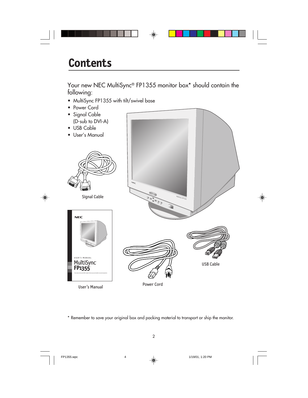

\* Remember to save your original box and packing material to transport or ship the monitor.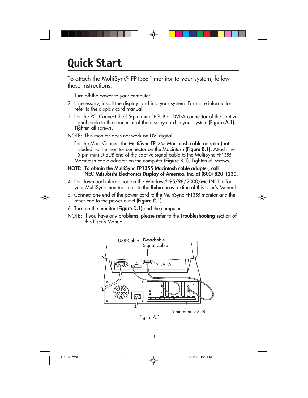# **Quick Start**

To attach the MultiSync® FP1355™ monitor to your system, follow these instructions:

- 1. Turn off the power to your computer.
- 2. If necessary, install the display card into your system. For more information, refer to the display card manual.
- 3. For the PC: Connect the 15-pin mini D-SUB or DVI-A connector of the captive signal cable to the connector of the display card in your system **(Figure A.1).** Tighten all screws.
- NOTE: This monitor does not work on DVI digital.

For the Mac: Connect the MultiSync FP1355 Macintosh cable adapter (not included) to the monitor connector on the Macintosh **(Figure B.1).** Attach the 15-pin mini D-SUB end of the captive signal cable to the MultiSync FP1355 Macintosh cable adapter on the computer **(Figure B.1).** Tighten all screws.

### **NOTE: To obtain the MultiSync FP1355 Macintosh cable adapter, call NEC-Mitsubishi Electronics Display of America, Inc. at (800) 820-1230.**

- 4. For download information on the Windows® 95/98/2000/Me INF file for your MultiSync monitor, refer to the **References** section of this User's Manual.
- 5. Connect one end of the power cord to the MultiSync FP1355 monitor and the other end to the power outlet **(Figure C.1).**
- 6. Turn on the monitor **(Figure D.1)** and the computer.
- NOTE: If you have any problems, please refer to the **Troubleshooting** section of this User's Manual.



Figure A.1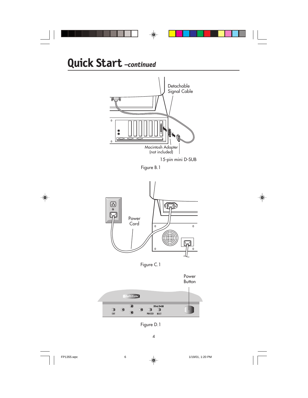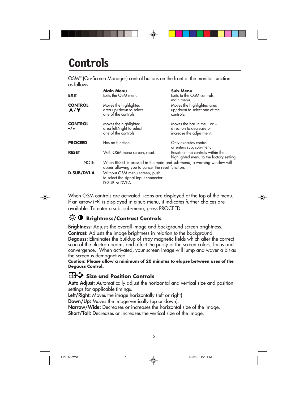# **Controls**

OSM™ (On-Screen Manager) control buttons on the front of the monitor function as follows:

|                        | <b>Main Menu</b>                                                                                                          | Sub-Menu                                                                                |
|------------------------|---------------------------------------------------------------------------------------------------------------------------|-----------------------------------------------------------------------------------------|
| <b>EXIT</b>            | Exits the OSM menu.                                                                                                       | Exits to the OSM controls<br>main menu.                                                 |
| <b>CONTROL</b><br>A/V  | Moves the highlighted<br>area up/down to select<br>one of the controls.                                                   | Moves the highlighted area<br>up/down to select one of the<br>controls.                 |
| <b>CONTROL</b><br>$-1$ | Moves the highlighted<br>area left/right to select<br>one of the controls.                                                | Moves the bar in the $-$ or $+$<br>direction to decrease or<br>increase the adjustment. |
| <b>PROCEED</b>         | Has no function.                                                                                                          | Only executes control<br>or enters sub, sub-menu.                                       |
| <b>RESET</b>           | With OSM menu screen, reset.                                                                                              | Resets all the controls within the<br>highlighted menu to the factory setting.          |
| NOTE:                  | When RESET is pressed in the main and sub-menu, a warning window will<br>apper allowing you to cancel the reset function. |                                                                                         |
| <b>D-SUB/DVI-A</b>     | Without OSM menu screen, push<br>to select the signal input connector,<br>D-SUB or DVI-A.                                 |                                                                                         |

When OSM controls are activated, icons are displayed at the top of the menu. If an arrow  $\rightarrow$ ) is displayed in a sub-menu, it indicates further choices are available. To enter a sub, sub-menu, press PROCEED.

# **Brightness/Contrast Controls**

**Brightness:** Adjusts the overall image and background screen brightness. **Contrast:** Adjusts the image brightness in relation to the background. **Degauss:** Eliminates the buildup of stray magnetic fields which alter the correct scan of the electron beams and affect the purity of the screen colors, focus and convergence. When activated, your screen image will jump and waver a bit as the screen is demagnetized.

**Caution: Please allow a minimum of 20 minutes to elapse between uses of the Degauss Control.**

# **Size and Position Controls**

**Auto Adjust:** Automatically adjust the horizontal and vertical size and position settings for applicable timings.

5

**Left/Right:** Moves the image horizontally (left or right).

**Down/Up:** Moves the image vertically (up or down).

**Narrow/Wide:** Decreases or increases the horizontal size of the image. **Short/Tall:** Decreases or increases the vertical size of the image.

⊕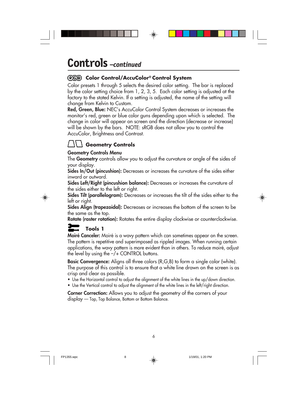# **Controls** *–continued*

# **Color Control/AccuColor® Control System**

Color presets 1 through 5 selects the desired color setting. The bar is replaced by the color setting choice from 1, 2, 3, 5. Each color setting is adjusted at the factory to the stated Kelvin. If a setting is adjusted, the name of the setting will change from Kelvin to Custom.

**Red, Green, Blue:** NEC's AccuColor Control System decreases or increases the monitor's red, green or blue color guns depending upon which is selected. The change in color will appear on screen and the direction (decrease or increase) will be shown by the bars. NOTE: sRGB does not allow you to control the AccuColor, Brightness and Contrast.

# **Geometry Controls**

### **Geometry Controls Menu**

The **Geometry** controls allow you to adjust the curvature or angle of the sides of your display.

**Sides In/Out (pincushion):** Decreases or increases the curvature of the sides either inward or outward.

**Sides Left/Right (pincushion balance):** Decreases or increases the curvature of the sides either to the left or right.

**Sides Tilt (parallelogram):** Decreases or increases the tilt of the sides either to the left or right.

**Sides Align (trapezoidal):** Decreases or increases the bottom of the screen to be the same as the top.

**Rotate (raster rotation):** Rotates the entire display clockwise or counterclockwise.

# **Tools 1**

**Moiré Canceler:** Moiré is a wavy pattern which can sometimes appear on the screen. The pattern is repetitive and superimposed as rippled images. When running certain applications, the wavy pattern is more evident than in others. To reduce moiré, adjust the level by using the  $-\prime +$  CONTROL buttons.

**Basic Convergence:** Aligns all three colors (R,G,B) to form a single color (white). The purpose of this control is to ensure that a white line drawn on the screen is as crisp and clear as possible.

• Use the Horizontal control to adjust the alignment of the white lines in the up/down direction.

6

• Use the Vertical control to adjust the alignment of the white lines in the left/right direction.

**Corner Correction:** Allows you to adjust the geometry of the corners of your display — Top, Top Balance, Bottom or Bottom Balance.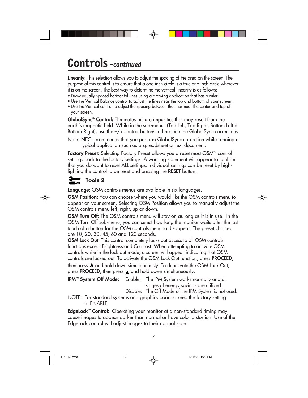# **Controls** *–continued*

**Linearity:** This selection allows you to adjust the spacing of the area on the screen. The purpose of this control is to ensure that a one-inch circle is a true one-inch circle wherever it is on the screen. The best way to determine the vertical linearity is as follows:

- Draw equally spaced horizontal lines using a drawing application that has a ruler.
- Use the Vertical Balance control to adjust the lines near the top and bottom of your screen.
- Use the Vertical control to adjust the spacing between the lines near the center and top of your screen.

**GlobalSync® Control:** Eliminates picture impurities that may result from the earth's magnetic field. While in the sub-menus (Top Left, Top Right, Bottom Left or Bottom Right), use the  $-\prime +$  control buttons to fine tune the GlobalSync corrections.

Note: NEC recommends that you perform GlobalSync correction while running a typical application such as a spreadsheet or text document.

**Factory Preset:** Selecting Factory Preset allows you a reset most OSM™ control settings back to the factory settings. A warning statement will appear to confirm that you do want to reset ALL settings. Individual settings can be reset by highlighting the control to be reset and pressing the **RESET** button.

#### 프 **Tools 2**

**Language:** OSM controls menus are available in six languages.

**OSM Position:** You can choose where you would like the OSM controls menu to appear on your screen. Selecting OSM Position allows you to manually adjust the OSM controls menu left, right, up or down.

**OSM Turn Off:** The OSM controls menu will stay on as long as it is in use. In the OSM Turn Off sub-menu, you can select how long the monitor waits after the last touch of a button for the OSM controls menu to disappear. The preset choices are 10, 20, 30, 45, 60 and 120 seconds.

**OSM Lock Out**: This control completely locks out access to all OSM controls functions except Brightness and Contrast. When attempting to activate OSM controls while in the lock out mode, a screen will appear indicating that OSM controls are locked out. To activate the OSM Lock Out function, press **PROCEED**, then press  $\blacktriangle$  and hold down simultaneously. To deactivate the OSM Lock Out,

press **PROCEED**, then press  $\triangle$  and hold down simultaneously.

**IPM™ System Off Mode:** Enable: The IPM System works normally and all stages of energy savings are utilized. Disable: The Off Mode of the IPM System is not used.

NOTE: For standard systems and graphics boards, keep the factory setting at ENABLE

**EdgeLock™ Control:** Operating your monitor at a non-standard timing may cause images to appear darker than normal or have color distortion. Use of the EdgeLock control will adjust images to their normal state.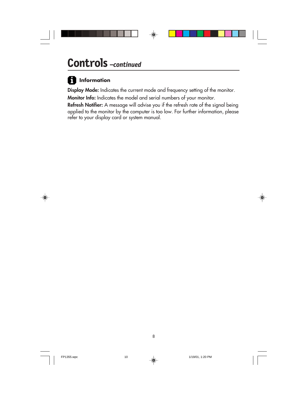# **Controls** *–continued*

# **Information**

**Display Mode:** Indicates the current mode and frequency setting of the monitor.

**Monitor Info:** Indicates the model and serial numbers of your monitor. **Refresh Notifier:** A message will advise you if the refresh rate of the signal being applied to the monitor by the computer is too low. For further information, please refer to your display card or system manual.

8

⊕

 $\spadesuit$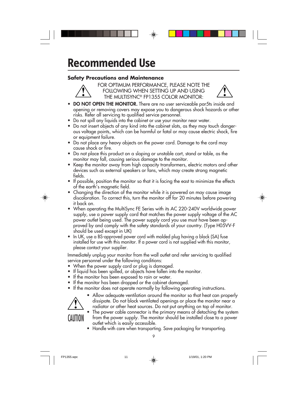# **Recommended Use**

# **Safety Precautions and Maintenance**

FOR OPTIMUM PERFORMANCE, PLEASE NOTE THE FOLLOWING WHEN SETTING UP AND USING THE MULTISYNC® FP1355 COLOR MONITOR:

- **DO NOT OPEN THE MONITOR.** There are no user serviceable par5ts inside and opening or removing covers may expose you to dangerous shock hazards or other risks. Refer all servicing to qualified service personnel.
- **•** Do not spill any liquids into the cabinet or use your monitor near water.
- **•** Do not insert objects of any kind into the cabinet slots, as they may touch dangerous voltage points, which can be harmful or fatal or may cause electric shock, fire or equipment failure.
- **•** Do not place any heavy objects on the power cord. Damage to the cord may cause shock or fire.
- **•** Do not place this product on a sloping or unstable cart, stand or table, as the monitor may fall, causing serious damage to the monitor.
- **•** Keep the monitor away from high capacity transformers, electric motors and other devices such as external speakers or fans, which may create strong magnetic fields.
- **•** If possible, position the monitor so that it is facing the east to minimize the effects of the earth's magnetic field.
- **•** Changing the direction of the monitor while it is powered on may cause image discoloration. To correct this, turn the monitor off for 20 minutes before powering it back on.
- **•** When operating the MultiSync FE Series with its AC 220-240V worldwide power supply, use a power supply cord that matches the power supply voltage of the AC power outlet being used. The power supply cord you use must have been approved by and comply with the safety standards of your country. (Type H05VV-F should be used except in UK)
- **•** In UK, use a BS-approved power cord with molded plug having a black (SA) fuse installed for use with this monitor. If a power cord is not supplied with this monitor, please contact your supplier.

Immediately unplug your monitor from the wall outlet and refer servicing to qualified service personnel under the following conditions:

- **•** When the power supply cord or plug is damaged.
- **•** If liquid has been spilled, or objects have fallen into the monitor.
- **•** If the monitor has been exposed to rain or water.
- **•** If the monitor has been dropped or the cabinet damaged.
- **•** If the monitor does not operate normally by following operating instructions.



**•** Allow adequate ventilation around the monitor so that heat can properly dissipate. Do not block ventilated openings or place the monitor near a radiator or other heat sources. Do not put anything on top of monitor.

The power cable connector is the primary means of detaching the system from the power supply. The monitor should be installed close to a power outlet which is easily accessible.

**•** Handle with care when transporting. Save packaging for transporting.

 $\circ$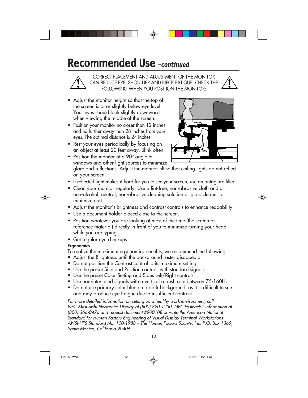# **Recommended Use** *–continued*



CORRECT PLACEMENT AND ADJUSTMENT OF THE MONITOR CAN REDUCE EYE, SHOULDER AND NECK FATIGUE. CHECK THE FOLLOWING WHEN YOU POSITION THE MONITOR:

- **•** Adjust the monitor height so that the top of the screen is at or slightly below eye level. Your eyes should look slightly downward when viewing the middle of the screen.
- **•** Position your monitor no closer than 12 inches and no further away than 28 inches from your eyes. The optimal distance is 24 inches.
- **•** Rest your eyes periodically by focusing on an object at least 20 feet away. Blink often.

**•** Position the monitor at a 90° angle to



windows and other light sources to minimize glare and reflections. Adjust the monitor tilt so that ceiling lights do not reflect on your screen.

- **•** If reflected light makes it hard for you to see your screen, use an anti-glare filter.
- **•** Clean your monitor regularly. Use a lint-free, non-abrasive cloth and a non-alcohol, neutral, non-abrasive cleaning solution or glass cleaner to minimize dust.
- Adjust the monitor's brightness and contrast controls to enhance readability.
- **•** Use a document holder placed close to the screen.
- **•** Position whatever you are looking at most of the time (the screen or reference material) directly in front of you to minimize turning your head while you are typing.
- **•** Get regular eye checkups.

### **Ergonomics**

To realize the maximum ergonomics benefits, we recommend the following:

- Adjust the Brightness until the background raster disappears
- Do not position the Contrast control to its maximum setting
- Use the preset Size and Position controls with standard signals
- Use the preset Color Setting and Sides Left/Right controls
- Use non-interlaced signals with a vertical refresh rate between 75-160Hz
- Do not use primary color blue on a dark background, as it is difficult to see and may produce eye fatigue due to insufficient contrast

For more detailed information on setting up a healthy work environment, call NEC-Mitsubishi Electronics Display at (800) 820-1230, NEC FastFacts™ information at (800) 366-0476 and request document #900108 or write the American National Standard for Human Factors Engineering of Visual Display Terminal Workstations – ANSI-HFS Standard No. 100-1988 – The Human Factors Society, Inc. P.O. Box 1369, Santa Monica, California 90406.

FP1355.wpc 1/19/01, 1:20 PM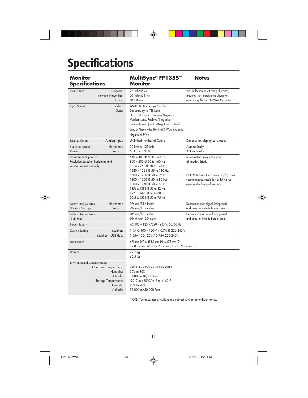# **Specifications**

 $\overline{\phantom{a}}$ 

 $\Rightarrow$ 

| <b>Monitor</b><br><b>Specifications</b>                                                         |                                                                                                           | MultiSync® FP1355™<br><b>Monitor</b>                                                                                                                                                                                                                                                          | <b>Notes</b>                                                                                                                                                        |
|-------------------------------------------------------------------------------------------------|-----------------------------------------------------------------------------------------------------------|-----------------------------------------------------------------------------------------------------------------------------------------------------------------------------------------------------------------------------------------------------------------------------------------------|---------------------------------------------------------------------------------------------------------------------------------------------------------------------|
| Picture Tube                                                                                    | Diagonal:<br>Viewable Image Size:<br>Radius:                                                              | 22 inch/55 cm<br>20 inch/508 mm<br>50000 mm                                                                                                                                                                                                                                                   | 90° deflection, 0.24 mm grille pitch,<br>medium short persistence phosphor,<br>aperture grille CRT, G-WARAS coating                                                 |
| Input Signal                                                                                    | Video:<br>Sync:                                                                                           | ANALOG 0.7 Vp-p/75 Ohms<br>Separate sync. TTL Level<br>Horizontal sync. Positive/Negative<br>Vertical sync. Positive/Negative<br>Composite sync. (Positive/Negative) (TTL Level)<br>Sync on Green video (Positive) 0.7Vp-p and sync.<br>Negative 0.3Vp-p                                      |                                                                                                                                                                     |
| Display Colors                                                                                  | Analog input:                                                                                             | Unlimited number of Colors                                                                                                                                                                                                                                                                    | Depends on display card used.                                                                                                                                       |
| Synchronization<br>Range                                                                        | Horizontal:<br>Vertical:                                                                                  | 30 kHz to 121 kHz<br>50 Hz to 160 Hz                                                                                                                                                                                                                                                          | Automatically<br>Automatically                                                                                                                                      |
| <b>Resolutions Supported</b><br>Resolution based on horizontal and<br>vertical frequencies only |                                                                                                           | 640 x 480 @ 50 to 160 Hz<br>800 x 600 @ 50 to 160 Hz<br>1024 x 768 @ 50 to 144 Hz<br>1280 x 1024 @ 50 to 110 Hz<br>1600 x 1200 @ 50 to 95 Hz<br>1800 x 1350 @ 50 to 85 Hz<br>1800 x 1440 @ 50 to 80 Hz<br>1856 x 1392 @ 50 to 82 Hz<br>1920 x 1440 @ 50 to 80 Hz<br>2048 x 1536 @ 50 to 75 Hz | Some systems may not support<br>all modes listed.<br>NEC-Mitsubishi Electronics Display cites<br>recommended resolution a 85 Hz for<br>optimal display performance. |
| Active Display Area<br>(Factory Setting)                                                        | Horizontal:<br>Vertical:                                                                                  | 396 mm/15.6 inches<br>297 mm/11.7 inches                                                                                                                                                                                                                                                      | Dependent upon signal timing used,<br>and does not include border area.                                                                                             |
| Active Display Area<br>(Full Scan)                                                              |                                                                                                           | 406 mm/16.0 inches<br>304.6 mm/12.0 inches                                                                                                                                                                                                                                                    | Dependent upon signal timing used,<br>and does not include border area.                                                                                             |
| Power Supply                                                                                    |                                                                                                           | AC 100 - 120 V/220 - 240 V, 50/60 Hz                                                                                                                                                                                                                                                          |                                                                                                                                                                     |
| <b>Current Rating</b>                                                                           | Monitor:<br>Monitor + USB Hub:                                                                            | 1.4A @ 100 - 120 V / 0.7A @ 220-240 V<br>1.55A 100-120V / 0.75A 220-240V                                                                                                                                                                                                                      |                                                                                                                                                                     |
| <b>Dimensions</b>                                                                               |                                                                                                           | 495 mm (W) x 493.5 mm (H) x 473 mm (D)<br>19.8 inches (W) x 19.7 inches (H) x 18.9 inches (D)                                                                                                                                                                                                 |                                                                                                                                                                     |
| Weight                                                                                          |                                                                                                           | 29.7 kg<br>65.5 lbs                                                                                                                                                                                                                                                                           |                                                                                                                                                                     |
| <b>Environmental Considerations</b>                                                             | <b>Operating Temperature:</b><br>Humidity:<br>Altitude:<br>Storage Temperature:<br>Humidity:<br>Altitude: | +10°C to +35°C/+50°F to +90°F<br>30% to 80%<br>3,000 m/10,000 Feet<br>$-20^{\circ}$ C to $+60^{\circ}$ C/ $-4^{\circ}$ F to $+140^{\circ}$ F<br>10% to 90%<br>15,000 m/50,000 Feet                                                                                                            |                                                                                                                                                                     |

 $\bigoplus$ 

 $\overline{\phantom{a}}$ 

 $\Rightarrow$ 

 $\overline{\Gamma}$ 

NOTE: Technical specifications are subject to change without notice.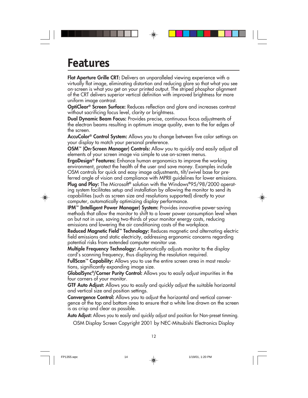# **Features**

**Flat Aperture Grille CRT:** Delivers an unparalleled viewing experience with a virtually flat image, eliminating distortion and reducing glare so that what you see on-screen is what you get on your printed output. The striped phosphor alignment of the CRT delivers superior vertical definition with improved brightness for more uniform image contrast.

**OptiClear® Screen Surface:** Reduces reflection and glare and increases contrast without sacrificing focus level, clarity or brightness.

**Dual Dynamic Beam Focus:** Provides precise, continuous focus adjustments of the electron beams resulting in optimum image quality, even to the far edges of the screen.

**AccuColor® Control System:** Allows you to change between five color settings on your display to match your personal preference.

**OSM<sup>™</sup> (On-Screen Manager) Controls:** Allow you to quickly and easily adjust all elements of your screen image via simple to use on-screen menus.

**ErgoDesign® Features:** Enhance human ergonomics to improve the working environment, protect the health of the user and save money. Examples include OSM controls for quick and easy image adjustments, tilt/swivel base for preferred angle of vision and compliance with MPRII guidelines for lower emissions. **Plug and Play:** The Microsoft**®** solution with the Windows**®**95/98/2000 operat-

ing system facilitates setup and installation by allowing the monitor to send its capabilities (such as screen size and resolutions supported) directly to your computer, automatically optimizing display performance.

**IPM™ (Intelligent Power Manager) System:** Provides innovative power-saving methods that allow the monitor to shift to a lower power consumption level when on but not in use, saving two-thirds of your monitor energy costs, reducing emissions and lowering the air conditioning costs of the workplace.

**Reduced Magnetic Field™ Technology:** Reduces magnetic and alternating electric field emissions and static electricity, addressing ergonomic concerns regarding potential risks from extended computer monitor use.

**Multiple Frequency Technology:** Automatically adjusts monitor to the display card's scanning frequency, thus displaying the resolution required.

**FullScan™ Capability:** Allows you to use the entire screen area in most resolutions, significantly expanding image size.

**GlobalSync®/Corner Purity Control:** Allows you to easily adjust impurities in the four corners of your monitor.

**GTF Auto Adjust:** Allows you to easily and quickly adjust the suitable horizontal and vertical size and position settings.

**Convergence Control:** Allows you to adjust the horizontal and vertical convergence of the top and bottom area to ensure that a white line drawn on the screen is as crisp and clear as possible.

**Auto Adjust:** Allows you to easily and quickly adjust and position for Non-preset timming.

OSM Display Screen Copyright 2001 by NEC-Mitsubishi Electronics Display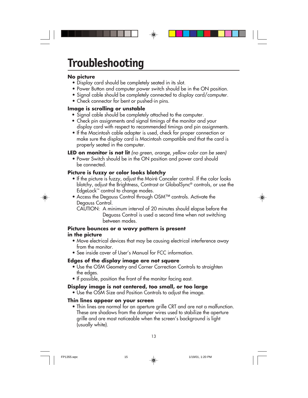# **Troubleshooting**

# **No picture**

- Display card should be completely seated in its slot.
- Power Button and computer power switch should be in the ON position.
- Signal cable should be completely connected to display card/computer.
- Check connector for bent or pushed-in pins.

# **Image is scrolling or unstable**

- Signal cable should be completely attached to the computer.
- Check pin assignments and signal timings of the monitor and your display card with respect to recommended timings and pin assignments.
- If the Macintosh cable adapter is used, check for proper connection or make sure the display card is Macintosh compatible and that the card is properly seated in the computer.

## **LED on monitor is not lit** (no green, orange, yellow color can be seen)

• Power Switch should be in the ON position and power cord should be connected.

# **Picture is fuzzy or color looks blotchy**

- If the picture is fuzzy, adjust the Moiré Canceler control. If the color looks blotchy, adjust the Brightness, Contrast or GlobalSync® controls, or use the EdgeLock™ control to change modes.
- Access the Degauss Control through OSM™ controls. Activate the Degauss Control.

CAUTION: A minimum interval of 20 minutes should elapse before the Deguass Control is used a second time when not switching between modes.

## **Picture bounces or a wavy pattern is present in the picture**

- Move electrical devices that may be causing electrical interference away from the monitor.
- See inside cover of User's Manual for FCC information.

## **Edges of the display image are not square**

- Use the OSM Geometry and Corner Correction Controls to straighten the edges.
- If possible, position the front of the monitor facing east.

## **Display image is not centered, too small, or too large**

• Use the OSM Size and Position Controls to adjust the image.

## **Thin lines appear on your screen**

• Thin lines are normal for an aperture grille CRT and are not a malfunction. These are shadows from the damper wires used to stabilize the aperture grille and are most noticeable when the screen's background is light (usually white).

FP1355.wpc 1/19/01, 1:20 PM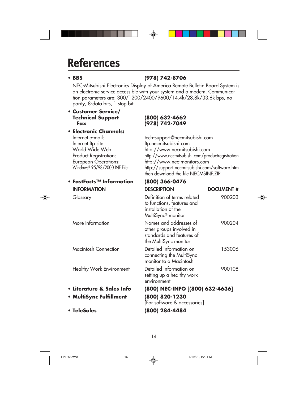# **References**

# **• BBS (978) 742-8706**

NEC-Mitsubishi Electronics Display of America Remote Bulletin Board System is an electronic service accessible with your system and a modem. Communication parameters are: 300/1200/2400/9600/14.4k/28.8k/33.6k bps, no parity, 8-data bits, 1 stop bit

# **• Customer Service/ Technical Support (800) 632-4662 Fax (978) 742-7049**

**• Electronic Channels:** Internet e-mail: tech-support@necmitsubishi.com Internet ftp site: ftp.necmitsubishi.com World Wide Web: http://www.necmitsubishi.com Product Registration: http://www.necmitsubishi.com/productregistration European Operations: http://www.nec-monitors.com

# Windows® 95/98/2000 INF File: http://support.necmitsubishi.com/software.htm then download the file NECMSINF.ZIP

# **• FastFacts™ Information (800) 366-0476 INFORMATION DESCRIPTION DOCUMENT #** Glossary **Definition of terms related** 900203 to functions, features and installation of the MultiSync® monitor More Information Names and addresses of 900204 other groups involved in standards and features of the MultiSync monitor Macintosh Connection Detailed information on 153006 connecting the MultiSync monitor to a Macintosh Healthy Work Environment Detailed information on 900108 setting up a healthy work environment **• Literature & Sales Info (800) NEC-INFO [(800) 632-4636] • MultiSync Fulfillment (800) 820-1230** [For software & accessories]

# **• TeleSales (800) 284-4484**

FP1355.wpc 1/19/01, 1:20 PM 16 1/19/01, 1:20 PM 1/19/01, 1:20 PM 1/19/01, 1:20 PM 1/19/01, 1:20 PM 1/19/01, 1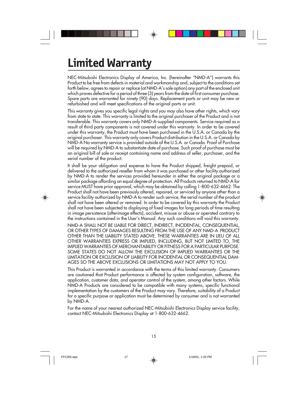# **Limited Warranty**

NEC-Mitsubishi Electronics Display of America, Inc. (hereinafter "NMD-A") warrants this Product to be free from defects in material and workmanship and, subject to the conditions set forth below, agrees to repair or replace (at NMD-A's sole option) any part of the enclosed unit which proves defective for a period of three (3) years from the date of first consumer purchase. Spare parts are warranted for ninety (90) days. Replacement parts or unit may be new or refurbished and will meet specifications of the original parts or unit.

This warranty gives you specific legal rights and you may also have other rights, which vary from state to state. This warranty is limited to the original purchaser of the Product and is not transferable. This warranty covers only NMD-A-supplied components. Service required as a result of third party components is not covered under this warranty. In order to be covered under this warranty, the Product must have been purchased in the U.S.A. or Canada by the original purchaser. This warranty only covers Product distribution in the U.S.A. or Canada by NMD-A No warranty service is provided outside of the U.S.A. or Canada. Proof of Purchase will be required by NMD-A to substantiate date of purchase. Such proof of purchase must be an original bill of sale or receipt containing name and address of seller, purchaser, and the serial number of the product.

It shall be your obligation and expense to have the Product shipped, freight prepaid, or delivered to the authorized reseller from whom it was purchased or other facility authorized by NMD-A to render the services provided hereunder in either the original package or a similar package affording an equal degree of protection. All Products returned to NMD-A for service MUST have prior approval, which may be obtained by calling 1-800-632-4662. The Product shall not have been previously altered, repaired, or serviced by anyone other than a service facility authorized by NMD-A to render such service, the serial number of the product shall not have been altered or removed. In order to be covered by this warranty the Product shall not have been subjected to displaying of fixed images for long periods of time resulting in image persistence (afterimage effects), accident, misuse or abuse or operated contrary to the instructions contained in the User's Manual. Any such conditions will void this warranty.

NMD-A SHALL NOT BE LIABLE FOR DIRECT, INDIRECT, INCIDENTAL, CONSEQUENTIAL, OR OTHER TYPES OF DAMAGES RESULTING FROM THE USE OF ANY NMD-A PRODUCT OTHER THAN THE LIABILITY STATED ABOVE. THESE WARRANTIES ARE IN LIEU OF ALL OTHER WARRANTIES EXPRESS OR IMPLIED, INCLUDING, BUT NOT LIMITED TO, THE IMPLIED WARRANTIES OF MERCHANTABILITY OR FITNESS FOR A PARTICULAR PURPOSE. SOME STATES DO NOT ALLOW THE EXCLUSION OF IMPLIED WARRANTIES OR THE LIMITATION OR EXCLUSION OF LIABILITY FOR INCIDENTAL OR CONSEQUENTIAL DAM-AGES SO THE ABOVE EXCLUSIONS OR LIMITATIONS MAY NOT APPLY TO YOU.

This Product is warranted in accordance with the terms of this limited warranty. Consumers are cautioned that Product performance is affected by system configuration, software, the application, customer data, and operator control of the system, among other factors. While NMD-A Products are considered to be compatible with many systems, specific functional implementation by the customers of the Product may vary. Therefore, suitability of a Product for a specific purpose or application must be determined by consumer and is not warranted by NMD-A.

For the name of your nearest authorized NEC-Mitsubishi Electronics Display service facility, contact NEC-Mitsubishi Electronics Display at 1-800-632-4662.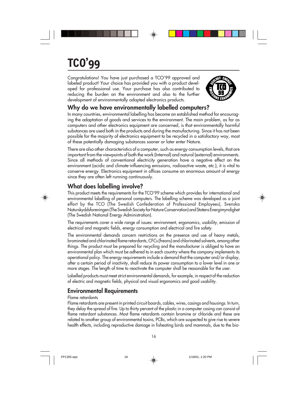# **TCO'99**

Congratulations! You have just purchased a TCO'99 approved and labeled product! Your choice has provided you with a product developed for professional use. Your purchase has also contributed to reducing the burden on the environment and also to the further development of environmentally adapted electronics products.



# **Why do we have environmentally labelled computers?**

In many countries, environmental labelling has become an established method for encouraging the adaptation of goods and services to the environment. The main problem, as far as computers and other electronics equipment are concerned, is that environmentally harmful substances are used both in the products and during the manufacturing. Since it has not been possible for the majority of electronics equipment to be recycled in a satisfactory way, most of these potentially damaging substances sooner or later enter Nature.

There are also other characteristics of a computer, such as energy consumption levels, that are important from the viewpoints of both the work (Internal) and natural (external) environments. Since all methods of conventional electricity generation have a negative effect on the environment (acidic and climate-influencing emissions, radioactive waste, etc.), it is vital to conserve energy. Electronics equipment in offices consume an enormous amount of energy since they are often left running continuously.

# **What does labelling involve?**

This product meets the requirements for the TCO'99 scheme which provides for international and environmental labelling of personal computers. The labelling scheme was developed as a joint effort by the TCO (The Swedish Confederation of Professional Employees), Svenska Naturskyddsforeningen (The Swedish Society for Nature Conservation) and Statens Energimyndighet (The Swedish National Energy Administration).

The requirements cover a wide range of issues: environment, ergonomics, usability, emission of electrical and magnetic fields, energy consumption and electrical and fire safety.

The environmental demands concern restrictions on the presence and use of heavy metals, brominated and chlorinated flame retardants, CFCs (freons) and chlorinated solvents, among other things. The product must be prepared for recycling and the manufacturer is obliged to have an environmental plan which must be adhered to in each country where the company implements its operational policy. The energy requirements include a demand that the computer and/or display, after a certain period of inactivity, shall reduce its power consumption to a lower level in one or more stages. The length of time to reactivate the computer shall be reasonable for the user.

Labelled products must meet strict environmental demands, for example, in respect of the reduction of electric and magnetic fields, physical and visual ergonomics and good usability.

# **Environmental Requirements**

### Flame retardants

Flame retardants are present in printed circuit boards, cables, wires, casings and housings. In turn, they delay the spread of fire. Up to thirty percent of the plastic in a computer casing can consist of flame retardant substances. Most flame retardants contain bromine or chloride and these are related to another group of environmental toxins, PCBs, which are suspected to give rise to severe health effects, including reproductive damage in fisheating birds and mammals, due to the bio-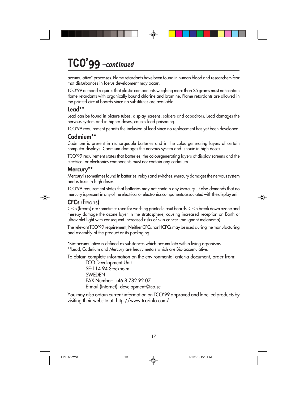# **TCO'99** *–continued*

accumulative\* processes. Flame retardants have been found in human blood and researchers fear that disturbances in foetus development may occur.

TCO'99 demand requires that plastic components weighing more than 25 grams must not contain flame retardants with organically bound chlorine and bromine. Flame retardants are allowed in the printed circuit boards since no substitutes are available.

### **Lead\*\***

Lead can be found in picture tubes, display screens, solders and capacitors. Lead damages the nervous system and in higher doses, causes lead poisoning.

TCO'99 requirement permits the inclusion of lead since no replacement has yet been developed.

### **Cadmium\*\***

Cadmium is present in rechargeable batteries and in the colourgenerating layers of certain computer displays. Cadmium damages the nervous system and is toxic in high doses.

TCO'99 requirement states that batteries, the colourgenerating layers of display screens and the electrical or electronics components must not contain any cadmium.

### **Mercury\*\***

Mercury is sometimes found in batteries, relays and switches, Mercury damages the nervous system and is toxic in high doses.

TCO'99 requirement states that batteries may not contain any Mercury. It also demands that no mercury is present in any of the electrical or electronics components associated with the display unit.

# **CFCs** (freons)

CFCs (freons) are sometimes used for washing printed circuit boards. CFCs break down ozone and thereby damage the ozone layer in the stratosphere, causing increased reception on Earth of ultraviolet light with consequent increased risks of skin cancer (malignant melanoma).

The relevant TCO'99 requirement; Neither CFCs nor HCFCs may be used during the manufacturing and assembly of the product or its packaging.

\*Bio-accumulative is defined as substances which accumulate within living organisms. \*\*Lead, Cadmium and Mercury are heavy metals which are Bio-accumulative.

To obtain complete information on the environmental criteria document, order from:

TCO Development Unit SE-114 94 Stockholm SWEDEN FAX Number: +46 8 782 92 07 E-mail (Internet): development@tco.se

You may also obtain current information on TCO'99 approved and labelled products by visiting their website at: http://www.tco-info.com/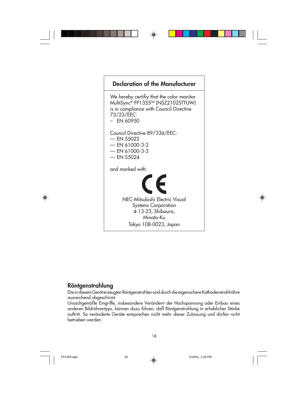

# **Röntgenstrahlung**

Die in diesem Gerät erzeugten Röntgenstrahlen sind durch die eigensichere Kathodenstrahlröhre ausreichend abgeschirmt.

Unsachgemäße Eingriffe, insbesondere Verändern der Hochspannung oder Einbau eines anderen Bildröhrentyps, können dazu führen, daß Röntgenstrahlung in erheblicher Stärke auftritt. So veränderte Geräte entsprechen nicht mehr dieser Zulassung und dürfen nicht betrieben werden.

18

◈

FP1355.wpc 20 20 1/19/01, 1:20 PM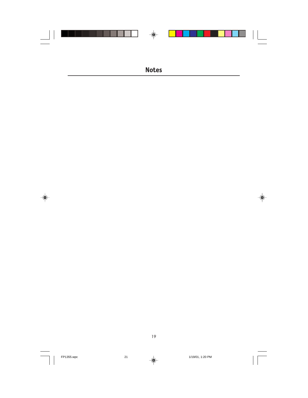| <u> Tanzania de la Politika de la Politika de la Politika de la Politika de la Politika de la Politika de la Poli</u> | $\bigoplus$  | <u> La Barca de la Ba</u> |  |
|-----------------------------------------------------------------------------------------------------------------------|--------------|---------------------------|--|
|                                                                                                                       |              |                           |  |
|                                                                                                                       |              |                           |  |
|                                                                                                                       | <b>Notes</b> |                           |  |

19

FP1355.wpc 21  $\frac{21}{2}$  1/19/01, 1:20 PM

 $\Rightarrow$ 

 $\overline{\overline{\Gamma}}$ 

 $\Rightarrow$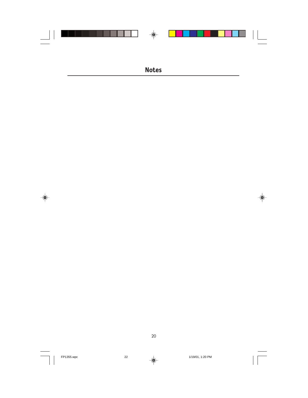|  | $\bigoplus$  | 1 F H |  |
|--|--------------|-------|--|
|  | <b>Notes</b> |       |  |

20

 $\Rightarrow$ 

FP1355.wpc 22  $\bigoplus$  1/19/01, 1:20 PM

 $\Rightarrow$ 

 $\overline{\overline{\Gamma}}$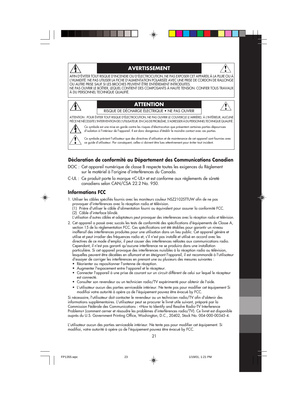# **AVERTISSEMENT**



AFIN D'ÉVITER TOUT RISQUE D'INCENDIE OU D'ÉLECTROCUTION, NE PAS EXPOSER CET APPAREIL À LA PLUIE OU À L'HUMIDITÉ. NE PAS UTILISER LA FICHE D'ALIMENTATION POLARISÉE AVEC UNE PRISE DE CORDON DE RALLONGE OU AUTRE PRISE SAUF SI LES BROCHES PEUVENT ÊTRE ENTIÈREMENT INTRODUITES.

NE PAS OUVRIR LE BOÎTIER, LEQUEL CONTIENT DES COMPOSANTS À HAUTE TENSION. CONFIER TOUS TRAVAUX À DU PERSONNEL TECHNIQUE QUALIFIÉ.

**ATTENTION**

RISQUE DE DÉCHARGE ÉLECTRIQUE • NE PAS OUVRIR

ATTENTION : POUR ÉVITER TOUT RISQUE D'ÉLECTROCUTION, NE PAS OUVRIR LE COUVERCLE (L'ARRIÈRE). À L'INTÉRIEUR, AUCUNE PIÈCE NE NÉCESSITE L'INTERVENTION DE L'UTILISATEUR. EN CAS DE PROBLÈME, S'ADRESSER À DU PERSONNEL TECHNIQUE QUALIFIÉ.

Ce symbole est une mise en garde contre les risques d'électrocution que présentent certaines parties dépourvues d'isolation à l'intérieur de l'appareil. Il est donc dangereux d'établir le moindre contact avec ces parties.

Ce symbole prévient l'utilisateur que des directives d'utilisation et de maintenance de cet appareil sont fournies avec ce guide d'utilisateur. Par conséquent, celles-ci doivent être lues attentivement pour éviter tout incident.

### **Déclaration de conformité au Département des Communications Canadien**

- DOC : Cet appareil numérique de classe B respecte toutes les exigences du Règlement sur le matériel à l'origine d'interférences du Canada.
- C-UL : Ce produit porte la marque «C-UL» et est conforme aux règlements de sûreté canadiens selon CAN/CSA 22.2 No. 950.



### **Informations FCC**

1. Utiliser les câbles spécifiés fournis avec les moniteurs couleur NSZ2102STTUW afin de ne pas provoquer d'interférences avec la réception radio et télévision.

- (1) Prière d'utiliser le câble d'alimentation fourni ou équivalent pour assurer la conformité FCC.
- (2) Câble d'interface blindé.

L'utilisation d'autres câbles et adaptateurs peut provoquer des interférences avec la réception radio et télévision.

2. Cet appareil a passé avec succès les tests de conformité des spécifications d'équipements de Classe A, section 15 de la réglementation FCC. Ces spécifications ont été établies pour garantir un niveau inoffensif des interférences produites pour une utilisation dans un lieu public. Cet appareil génère et utilise et peut irradier des fréquences radio et, s'il n'est pas installé et utilisé en accord avec les directives de ce mode d'emploi, il peut causer des interférences néfastes aux communications radio. Cependant, il n'est pas garanti qu<sup>i</sup>aucune interférence ne se produira dans une installation particulière. Si cet appareil provoque des interférences nuisibles à la réception radio ou télévision, lesquelles peuvent être décelées en allumant et en éteignant l'appareil, il est recommandé à l'utilisateur d'essayer de corriger les interférences en prenant une ou plusieurs des mesures suivantes :

- Réorienter ou repositionner l'antenne de réception.
- Augmenter l'espacement entre l'appareil et le récepteur.
- Connecter l'appareil à une prise de courant sur un circuit différent de celui sur lequel le récepteur est connecté.
- Consulter son revendeur ou un technicien radio/TV expérimenté pour obtenir de l'aide.
- L'utilisateur aucun des parties serviceable intérieur. Ne tente pas pour modifier cet équipement Si modifiai votre autorité à opére ça de l'équipement pouvez être évacué by FCC.

Si nécessaire, l'utilisateur doit contacter le revendeur ou un technicien radio/TV afin d'obtenir des informations supplémentaires. L'utilisateur peut se procurer le livret utile suivant, préparé par la Commission Fédérale des Communications : «How to Identify and Resolve Radio-TV Interference Problems» (comment cerner et résoudre les problèmes d'interférences radio/TV). Ce livret est disponible auprès du U.S. Government Printing Office, Washington, D.C., 20402, Stock No. 004-000-00345-4.

L'utilisateur aucun des parties serviceable intérieur. Ne tente pas pour modifier cet équipement. Si modifiai, votre autorité à opére ça de l'équipement pouvez être évacué by FCC.





FP1355.wpc 23 1/19/01, 1:21 PM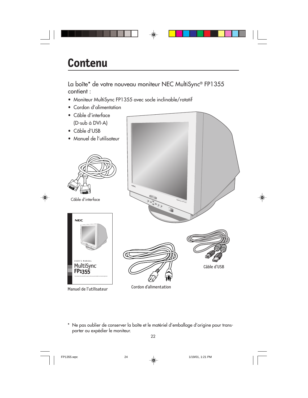

\* Ne pas oublier de conserver la boîte et le matériel d'emballage d'origine pour transporter ou expédier le moniteur.

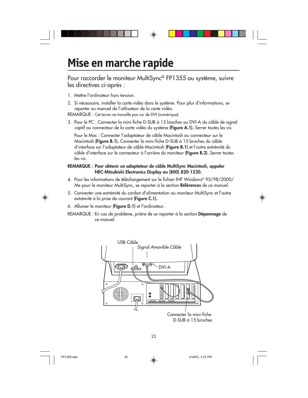# **Mise en marche rapide**

Pour raccorder le moniteur MultiSync® FP1355 au système, suivre les directives ci-après :

- 1. Mettre l'ordinateur hors tension.
- 2. Si nécessaire, installer la carte vidéo dans le système. Pour plus d'informations, se reporter au manuel de l'utilisateur de la carte vidéo.

REMARQUE : Cet écran ne travaille pas sur de DVI (numérique).

3. Pour le PC : Connecter la mini-fiche D-SUB à 15 broches ou DVI-A du câble de signal captif au connecteur de la carte vidéo du système **(Figure A.1).** Serrer toutes les vis.

Pour le Mac : Connecter l'adaptateur de câble Macintosh au connecteur sur le Macintosh **(Figure B.1).** Connecter la mini-fiche D-SUB à 15 broches du câble d'interface sur l'adaptateur de câble Macintosh **(Figure B.1)** et l'autre extrémité du câble d'interface sur le connecteur à l'arrière du moniteur **(Figure B.2).** Serrer toutes les vis.

### **REMARQUE : Pour obtenir un adaptateur de câble MultiSync Macintosh, appeler NEC-Mitsubishi Electronics Display au (800) 820-1230.**

- 4. Pour les informations de téléchargement sur le fichier INF Windows® 95/98/2000/ Me pour le moniteur MultiSync, se reporter à la section **Références** de ce manuel.
- 5. Connecter une extrémité du cordon d'alimentation au moniteur MultiSync et l'autre extrémité à la prise de courant **(Figure C.1).**
- 6. Allumer le moniteur **(Figure D.1)** et l'ordinateur.
- REMARQUE : En cas de problème, prière de se reporter à la section **Dépannage** de ce manuel.



FP1355.wpc 25 25 1/19/01, 1:21 PM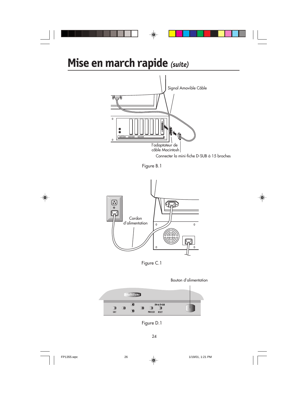





Figure C.1



Figure D.1

24

 $\clubsuit$ 

⊕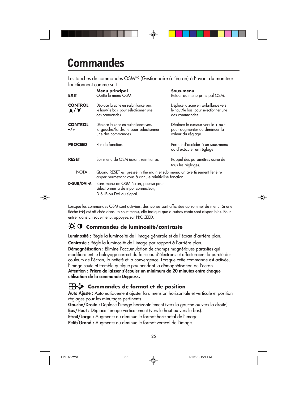# **Commandes**

Les touches de commandes OSM<sup>MC</sup> (Gestionnaire à l'écran) à l'avant du moniteur fonctionnent comme suit :

| <b>EXIT</b>            | Menu principal<br>Quitte le menu OSM.                                                                                             | Sous-menu<br>Retour au menu principal OSM.                                                     |
|------------------------|-----------------------------------------------------------------------------------------------------------------------------------|------------------------------------------------------------------------------------------------|
| <b>CONTROL</b><br>A/V  | Déplace la zone en surbrillance vers<br>le haut/le bas pour sélectionner une<br>des commandes.                                    | Déplace la zone en surbrillance vers<br>le haut/le bas pour sélectionner une<br>des commandes. |
| <b>CONTROL</b><br>$-1$ | Déplace la zone en surbrillance vers<br>la gauche/la droite pour sélectionner<br>une des commandes.                               | Déplace le curseur vers le + ou -<br>pour augmenter ou diminuer la<br>valeur du réglage.       |
| <b>PROCEED</b>         | Pas de fonction.                                                                                                                  | Permet d'accéder à un sous-menu<br>ou d'exécuter un réglage.                                   |
| RESET                  | Sur menu de OSM écran, réinitialisé.                                                                                              | Rappel des paramètres usine de<br>tous les réglages.                                           |
| NOTA:                  | Quand RESET est pressé in the main et sub menu, un avertissement fenêtre<br>apper permettant-vous à annule réinitialisé fonction. |                                                                                                |
| <b>D-SUB/DVI-A</b>     | Sans menu de OSM écran, pousse pour<br>sélectionner à de input connecteur,<br>D-SUB ou DVI au signal.                             |                                                                                                |

Lorsque les commandes OSM sont activées, des icônes sont affichées au sommet du menu. Si une flèche (➔) est affichée dans un sous-menu, elle indique que d'autres choix sont disponibles. Pour entrer dans un sous-menu, appuyez sur PROCEED.

# **C** Commandes de luminosité/contraste

**Luminosité :** Règle la luminosité de l'image générale et de l'écran d'arrière-plan. **Contraste :** Règle la luminosité de l'image par rapport à l'arrière-plan.

**Démagnétisation :** Élimine l'accumulation de champs magnétiques parasites qui modifieraient le balayage correct du faisceau d'électrons et affecteraient la pureté des couleurs de l'écran, la netteté et la convergence. Lorsque cette commande est activée, l'image saute et tremble quelque peu pendant la démagnétisation de l'écran. **Attention : Prière de laisser s'écouler un minimum de 20 minutes entre chaque utilisation de la commande Degauss.**

# **Example 2** Commandes de format et de position

**Auto Ajuste :** Automatiquement ajuster la dimension horizontale et verticale et position réglages pour les minutages pertinents.

Gauche/Droite : Déplace l'image horizontalement (vers la gauche ou vers la droite). Bas/Haut : Déplace l'image verticalement (vers le haut ou vers le bas).

**Étroit/Large :** Augmente ou diminue le format horizontal de l'image.

Petit/Grand : Augmente ou diminue le format vertical de l'image.

25

◈

FP1355.wpc 27 1/19/01, 1:21 PM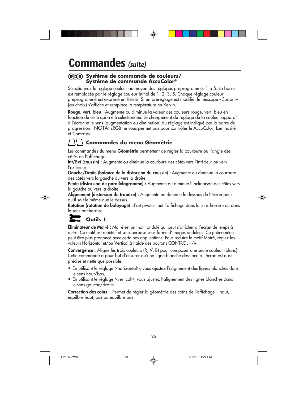# **Commandes** *(suite)*

#### (R)G)B) **Système de commande de couleurs/ Système de commande AccuColor®**

Sélectionnez le réglage couleur au moyen des réglages préprogrammés 1 à 5. La barre est remplacée par le réglage couleur initial de 1, 2, 3, 5. Chaque réglage couleur préprogrammé est exprimé en Kelvin. Si un préréglage est modifié, le message «Custom» (au choix) s'affiche et remplace la température en Kelvin.

**Rouge, vert, bleu** : Augmente ou diminue la valeur des couleurs rouge, vert, bleu en fonction de celle qui a été sélectionnée. Le changement du réglage de la couleur apparaît à l'écran et le sens (augmentation ou diminution) du réglage est indiqué par la barre de progression. NOTA: sRGB ne vous permet pas pour contrôler le AccuColor, Luminosité et Contraste.

# **Commandes du menu Géométrie**

Les commandes du menu **Géométrie** permettent de régler la courbure ou l'angle des côtés de l'affichage.

Int/Ext (coussin) : Augmente ou diminue la courbure des côtés vers l'intérieur ou vers l'extérieur.

**Gauche/Droite (balance de la distorsion du coussin) :** Augmente ou diminue la courbure des côtés vers la gauche ou vers la droite.

**Pente (distorsion de parallélogramme) :** Augmente ou diminue l'inclinaison des côtés vers la gauche ou vers la droite.

**Alignement (distorsion du trapèze) :** Augmente ou diminue le dessous de l'écran pour qu'il soit le même que le dessus.

**Rotation (rotation de balayage) :** Fait pivoter tout l'affichage dans le sens horaire ou dans le sens antihoraire.

# **Outils 1**

**Éliminateur de Moiré :** Moiré est un motif ondulé qui peut s'afficher à l'écran de temps à autre. Ce motif est répétitif et se superpose sous forme d'images ondulées. Ce phénomène peut être plus prononcé avec certaines applications. Pour réduire le motif Moiré, réglez les valeurs Horizontal et/ou Vertical à l'aide des boutons CONTROL –/+.

**Convergence :** Aligne les trois couleurs (R, V, B) pour composer une seule couleur (blanc). Cette commande a pour but d'assurer qu'une ligne blanche dessinée à l'écran est aussi précise et nette que possible.

• En utilisant le réglage ‹‹horizontal››, vous ajustez l'alignement des lignes blanches dans le sens haut/bas.

26

• En utilisant le réglage ‹‹vertical››, vous ajustez l'alignement des lignes blanches dans le sens gauche/droite.

**Correction des coins :** Permet de régler la géométrie des coins de l'affichage – haut, équilbre haut, bas ou équilbre bas.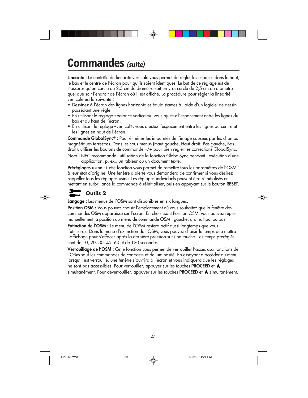# **Commandes** *(suite)*

**Linéarité :** Le contrôle de linéarité verticale vous permet de régler les espaces dans le haut, le bas et le centre de l'écran pour qu'ils soient identiques. Le but de ce réglage est de s'assurer qu'un cercle de 2,5 cm de diamètre soit un vrai cercle de 2,5 cm de diamètre quel que soit l'endroit de l'écran où il est affiché. La procédure pour régler la linéarité verticale est la suivante :

- Dessinez à l'écran des lignes horizontales équidistantes à l'aide d'un logiciel de dessin possédant une règle.
- En utilisant le réglage «balance verticale», vous ajustez l'espacement entre les lignes du bas et du haut de l'écran.
- En utilisant le réglage «vertical», vous ajustez l'espacement entre les lignes au centre et les lignes en haut de l'écran.

**Commande GlobalSync® :** Pour éliminer les impuretés de l'image causées par les champs magnétiques terrestres. Dans les sous-menus (Haut gauche, Haut droit, Bas gauche, Bas droit), utiliser les boutons de commande –/+ pour bien régler les corrections GlobalSync.

Nota : NEC recommande l'utilisation de la fonction GlobalSync pendant l'exécution d'une application, p. ex., un tableur ou un document texte.

Préréglages usine : Cette fonction vous permet de remettre tous les paramètres de l'OSM™ à leur état d'origine. Une fenêtre d'alerte vous demandera de confirmer si vous désirez rappeller tous les réglages usine. Les réglages individuels peuvent être réinitialisés en mettant en surbrillance la commande à réinitialiser, puis en appuyant sur le bouton **RESET**.



### **Outils 2**

**Langage :** Les menus de l'OSM sont disponibles en six langues.

**Position OSM :** Vous pouvez choisir l'emplacement où vous souhaitez que la fenêtre des commandes OSM apparaisse sur l'écran. En choisissant Position OSM, vous pouvez régler manuellement la position du menu de commande OSM : gauche, droite, haut ou bas.

Extinction de l'OSM : Le menu de l'OSM restera actif aussi longtemps que vous l'utiliserez. Dans le menu d'extinction de l'OSM, vous pouvez choisir le temps que mettra l'affichage pour s'effacer après la dernière pression sur une touche. Les temps préréglés sont de 10, 20, 30, 45, 60 et de 120 secondes.

**Verrouillage de l'OSM :** Cette fonction vous permet de verrouiller l'accès aux fonctions de l'OSM sauf les commandes de contraste et de luminosité. En essayant d'accéder au menu lorsqu'il est verrouillé, une fenêtre s'ouvrira à l'écran et vous indiquera que les réglages ne sont pas accessibles. Pour verrouiller, appuyer sur les touches **PROCEED** et simultanément. Pour déverrouiller, appuyer sur les touches **PROCEED** et **A** simultanément.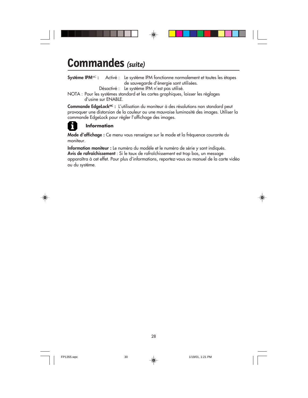# **Commandes** *(suite)*

Système IPM<sup>MC</sup>: Activé : Le système IPM fonctionne normalement et toutes les étapes de sauvegarde d'énergie sont utilisées.

Désactivé : Le système IPM n'est pas utilisé.

NOTA : Pour les systèmes standard et les cartes graphiques, laisser les réglages d'usine sur ENABLE.

Commande EdgeLock<sup>Mc</sup>: L'utilisation du moniteur à des résolutions non standard peut provoquer une distorsion de la couleur ou une mauvaise luminosité des images. Utiliser la commande EdgeLock pour régler l'affichage des images.



◈

### **Information**

**Mode d'affichage :** Ce menu vous renseigne sur le mode et la fréquence courante du moniteur.

**Information moniteur :** Le numéro du modèle et le numéro de série y sont indiqués. **Avis de rafraîchissement** : Si le taux de rafraîchissement est trop bas, un message apparaîtra à cet effet. Pour plus d'informations, reportez-vous au manuel de la carte vidéo ou du système.

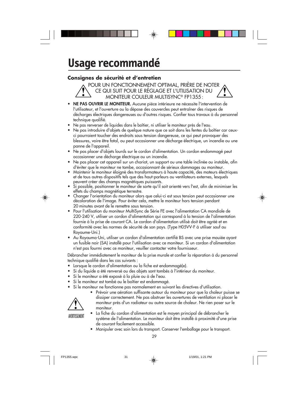# **Usage recommandé**

# **Consignes de sécurité et d'entretien**

POUR UN FONCTIONNEMENT OPTIMAL, PRIÈRE DE NOTER CE QUI SUIT POUR LE RÉGLAGE ET L'UTILISATION DU MONITEUR COULEUR MULTISYNC® FP1355 :

- **NE PAS OUVRIR LE MONITEUR.** Aucune pièce intérieure ne nécessite l'intervention de l'utilisateur, et l'ouverture ou la dépose des couvercles peut entraîner des risques de décharges électriques dangereuses ou d'autres risques. Confier tous travaux à du personnel technique qualifié.
- **•** Ne pas renverser de liquides dans le boîtier, ni utiliser le moniteur près de l'eau.
- **•** Ne pas introduire d'objets de quelque nature que ce soit dans les fentes du boîtier car ceuxci pourraient toucher des endroits sous tension dangereuse, ce qui peut provoquer des blessures, voire être fatal, ou peut occasionner une décharge électrique, un incendie ou une panne de l'appareil.
- **•** Ne pas placer d'objets lourds sur le cordon d'alimentation. Un cordon endommagé peut occasionner une décharge électrique ou un incendie.
- **•** Ne pas placer cet appareil sur un chariot, un support ou une table inclinée ou instable, afin d'éviter que le moniteur ne tombe, occasionnant de sérieux dommages au moniteur.
- **•** Maintenir le moniteur éloigné des transformateurs à haute capacité, des moteurs électriques et de tous autres dispositifs tels que des haut-parleurs ou ventilateurs externes, lesquels peuvent créer des champs magnétiques puissants.
- **•** Si possible, positionner le moniteur de sorte qu'il soit orienté vers l'est, afin de minimiser les effets du champs magnétique terrestre.
- **•** Changer l'orientation du moniteur alors que celui-ci est sous tension peut occasionner une décoloration de l'image. Pour éviter cela, mettre le moniteur hors tension pendant 20 minutes avant de le remettre sous tension.
- **•** Pour l'utilisation du moniteur MultiSync de Série FE avec l'alimentation CA mondiale de 220-240 V, utiliser un cordon d'alimentation qui correspond à la tension de l'alimentation fournie à la prise de courant CA. Le cordon d'alimentation utilisé doit être agréé et en conformité avec les normes de sécurité de son pays. (Type H05VV-F à utiliser sauf au Royaume-Uni.)
- **•** Au Royauma-Uni, utiliser un cordon d'alimentation certifié BS avec une prise mouiée ayant un fusible noir (SA) installé pour l'utilisation avec ce moniteur. Si un cordon d'alimentation n'est pas fourmi avec ce moniteur, veuiller contacter votre fournisseur.

Débrancher immédiatement le moniteur de la prise murale et confier la réparation à du personnel technique qualifié dans les cas suivants :

- **•** Lorsque le cordon d'alimentation ou la fiche est endommagé(e).
- **•** Si du liquide a été renversé ou des objets sont tombés à l'intérieur du moniteur.
- **•** Si le moniteur a été exposé à la pluie ou à de l'eau.
- **•** Si le moniteur est tombé ou le boîtier est endommagé.
- **•** Si le moniteur ne fonctionne pas normalement en suivant les directives d'utilisation.
	- **•** Prévoir une aération suffisante autour du moniteur pour que la chaleur puisse se dissiper correctement. Ne pas obstruer les ouvertures de ventilation ni placer le moniteur près d'un radiateur ou autre source de chaleur. Ne rien poser sur le moniteur.

AVERTISSEMENT

- **•** La fiche du cordon d'alimentation est le moyen principal de débrancher le système de l'alimentation. Le moniteur doit être installé à proximité d'une prise de courant facilement accessible.
- **•** Manipuler avec soin lors du transport. Conserver l'emballage pour le transport.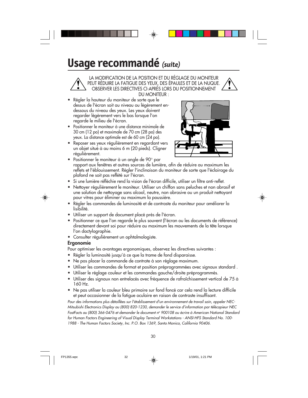# **Usage recommandé** *(suite)*

LA MODIFICATION DE LA POSITION ET DU RÉGLAGE DU MONITEUR PEUT RÉDUIRE LA FATIGUE DES YEUX, DES ÉPAULES ET DE LA NUQUE. OBSERVER LES DIRECTIVES CI-APRÈS LORS DU POSITIONNEMENT DU MONITEUR :

- **•** Régler la hauteur du moniteur de sorte que le dessus de l'écran soit au niveau ou légèrement endessous du niveau des yeux. Les yeux doivent regarder légèrement vers le bas lorsque l'on regarde le milieu de l'écran.
- **•** Positionner le moniteur à une distance minimale de 30 cm (12 po) et maximale de 70 cm (28 po) des yeux. La distance optimale est de 60 cm (24 po).
- **•** Reposer ses yeux régulièrement en regardant vers un objet situé à au moins 6 m (20 pieds). Cligner régulièrement.



- **•** Positionner le moniteur à un angle de 90° par rapport aux fenêtres et autres sources de lumière, afin de réduire au maximum les reflets et l'éblouissement. Régler l'inclinaison du moniteur de sorte que l'éclairage du plafond ne soit pas reflété sur l'écran.
- **•** Si une lumière réfléchie rend la vision de l'écran difficile, utiliser un filtre anti-reflet.
- **•** Nettoyer régulièrement le moniteur. Utiliser un chiffon sans peluches et non abrasif et une solution de nettoyage sans alcool, neutre, non abrasive ou un produit nettoyant pour vitres pour éliminer au maximum la poussière.
- **•** Régler les commandes de luminosité et de contraste du moniteur pour améliorer la lisibilité.
- **•** Utiliser un support de document placé près de l'écran.
- **•** Positionner ce que l'on regarde le plus souvent (l'écran ou les documents de référence) directement devant soi pour réduire au maximum les mouvements de la tête lorsque l'on dactylographie.
- **•** Consulter régulièrement un ophtalmologiste.

### **Ergonomie**

Pour optimiser les avantages ergonomiques, observez les directives suivantes :

- Régler la luminosité jusqu'à ce que la trame de fond disparaisse.
- Ne pas placer la commande de contrate à son réglage maximum.
- Utiliser les commandes de format et position préprogrammées avec signaux standard .
- Utiliser le réglage couleur et les commandes gauche/droite préprogrammés.
- Utiliser des signaux non entrelacés avec fréquence de rafraîchissement vertical de 75 à 160 Hz.
- Ne pas utiliser la couleur bleu primaire sur fond foncé car cela rend la lecture difficile et peut occasionner de la fatigue oculaire en raison de contraste insuffisant.

Pour des informations plus détaillées sur l'établissement d'un environnement de travail sain, appeler NEC-Mitsubishi Electronics Display au (800) 820-1230, demander le service d'information par télécopieur NEC FastFacts au (800) 366-0476 et demander le document n° 900108 ou écrire à American National Standard for Human Factors Engineering of Visual Display Terminal Workstations - ANSI-HFS Standard No. 100- 1988 - The Human Factors Society, Inc. P.O. Box 1369, Santa Monica, California 90406.

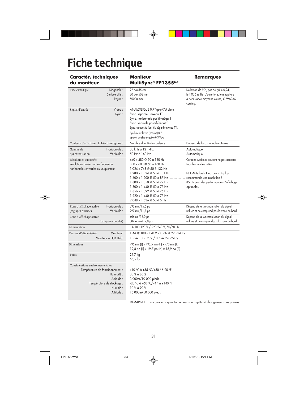# **Fiche technique**

| <b>Caractér. techniques</b><br>du moniteur                                                                                                           | <b>Moniteur</b><br>MultiSync® FP1355MC                                                                                                                                                                                                                                                    | <b>Remarques</b>                                                                                                                                                                                  |
|------------------------------------------------------------------------------------------------------------------------------------------------------|-------------------------------------------------------------------------------------------------------------------------------------------------------------------------------------------------------------------------------------------------------------------------------------------|---------------------------------------------------------------------------------------------------------------------------------------------------------------------------------------------------|
| Diagonale:<br>Tube cathodique<br>Surface utile :<br>Rayon:                                                                                           | 22 po/55 cm<br>20 po/508 mm<br>50000 mm                                                                                                                                                                                                                                                   | Déflexion de 90°, pas de grille 0,24,<br>le TRC à grille d'ouverture, luminophore<br>à persistance moyenne-courte, G-WARAS<br>coating.                                                            |
| Vidéo:<br>Signal d'entrée<br>Sync:                                                                                                                   | ANALOGIQUE 0,7 Vp-p/75 ohms<br>Sync. séparée - niveau TTL<br>Sync. horizontale positif/négatif<br>Sync. verticale positif/négatif<br>Sync. composite (positif/négatif) (niveau TTL)<br>Synchro sur le vert (positive) 0,7<br>Vp-p et synchro négative 0,3 Vp-p                            |                                                                                                                                                                                                   |
| Couleurs d'affichage Entrée analogique :                                                                                                             | Nombre illimité de couleurs                                                                                                                                                                                                                                                               | Dépend de la carte vidéo utilisée.                                                                                                                                                                |
| Horizontale:<br>Gamme de<br>Verticale:<br>Synchronisation                                                                                            | 30 kHz à 121 kHz<br>50 Hz à 160 Hz                                                                                                                                                                                                                                                        | Automatique<br>Automatique                                                                                                                                                                        |
| Résolutions autorisées<br>Résolutions basées sur les fréquences<br>horizontales et verticales uniquement                                             | 640 x 480 @ 50 à 160 Hz<br>800 x 600 @ 50 à 160 Hz<br>1024 x 768 @ 50 à 132 Hz<br>1 280 x 1 024 @ 50 à 101 Hz<br>1 600 x 1 200 @ 50 à 87 Hz<br>1800 x 1350 @ 50 à 77 Hz<br>1800 x 1440 @ 50 à 73 Hz<br>1856 x 1392 @ 50 à 75 Hz<br>1 920 x 1 440 @ 50 à 73 Hz<br>2048 x 1 536 @ 50 à 5 Hz | Certains systèmes peuvent ne pas accepter<br>tous les modes listés.<br>NEC-Mitsubishi Electronics Display<br>recommande une résolution à<br>85 Hz pour des performances d'affichage<br>optimales. |
| Horizontale:<br>Zone d'affichage active<br>Verticale:<br>(réglages d'usine)                                                                          | 396 mm/15,6 po<br>297 mm/11,7 po                                                                                                                                                                                                                                                          | Dépend de la synchronisation du signal<br>utilisée et ne comprend pas la zone de bord.                                                                                                            |
| Zone d'affichage active<br>(balayage complet)                                                                                                        | 406mm/16,0 po<br>304.6 mm/12,0 po                                                                                                                                                                                                                                                         | Dépend de la synchronisation du signal<br>utilisée et ne comprend pas la zone de bord.                                                                                                            |
| Alimentation                                                                                                                                         | CA 100-120 V / 220-240 V, 50/60 Hz                                                                                                                                                                                                                                                        |                                                                                                                                                                                                   |
| Tension d'alimentation<br>Moniteur:<br>Moniteur + USB Hub:                                                                                           | 1.4A @ 100 - 120 V / 0.7A @ 220-240 V<br>1.55A 100-120V / 0.75A 220-240V                                                                                                                                                                                                                  |                                                                                                                                                                                                   |
| <b>Dimensions</b>                                                                                                                                    | 495 mm (L) x 493,5 mm (H) x 473 mm (P)<br>19,8 po (L) x 19,7 po (H) x 18,9 po (P)                                                                                                                                                                                                         |                                                                                                                                                                                                   |
| Poids                                                                                                                                                | 29,7 kg<br>$65,5$ lbs                                                                                                                                                                                                                                                                     |                                                                                                                                                                                                   |
| Considérations environnementales<br>Température de fonctionnement :<br>Humidité:<br>Altitude:<br>Température de stockage :<br>Humitié:<br>Altitude : | +10 °C à +35 °C/+50 ° à 90 °F<br>30 % à 80 %<br>3 000m/10 000 pieds<br>-20 °C à +60 °C/-4 ° à +140 °F<br>10 % à 90 %<br>15 000m/50 000 pieds                                                                                                                                              |                                                                                                                                                                                                   |
|                                                                                                                                                      |                                                                                                                                                                                                                                                                                           | REMARQUE : Les caractéristiques techniques sont sujettes à changement sans préavis                                                                                                                |

 $\Rightarrow$ 

 $\mathbb{R}^n$ 

 $\clubsuit$ 

 $\overline{\Gamma}$ 

 $\mathcal{L}$ 

31

 $\Rightarrow$ 

FP1355.wpc 33 1/19/01, 1:21 PM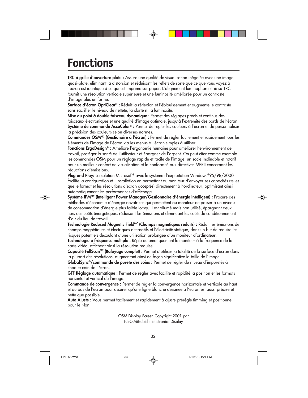# **Fonctions Fonctions**

**TRC à grille d'ouverture plate :** Assure une qualité de visualisation inégalée avec une image quasi-plate, éliminant la distorsion et réduisant les reflets de sorte que ce que vous voyez à l'ecran est identique à ce qui est imprimé sur paper. L'alignement luminophore strié su TRC fournit une résolution verticale supérieure et une luminosité améliorée pour un contraste d'image plus uniforme.

**Surface d'écran OptiClear® :** Réduit la réflexion et l'éblouissement et augmente le contraste sans sacrifier le niveau de netteté, la clarté ni la luminosité.

**Mise au point à double faisceau dynamique :** Permet des réglages précis et continus des faisceaux électroniques et une qualité d'image optimale, jusqu'à l'extrémité des bords de l'écran. **Système de commande AccuColor® :** Permet de régler les couleurs à l'écran et de personnaliser la précision des couleurs selon diverses normes.

Commandes OSM<sup>MC</sup> (Gestionaire à l'écran) : Permet de régler facilement et rapidement tous les éléments de l'image de l'écran via les menus à l'écran simples à utiliser.

**Fonctions ErgoDesign® :** Améliore l'ergonomie humaine pour améliorer l'environnement de travail, protéger la santé de l'utilisateur et épargner de l'argent. On peut citer comme exemple les commandes OSM pour un réglage rapide et facile de l'image, un socle inclinable et rotatif pour un meilleur confort de visualisation et la conformité aux directives MPRII concernant les réductions d'émissions.

**Plug and Play:** La solution Microsoft**®** avec le système d'exploitation Windows**®**95/98/2000 facilite la configuration et l'installation en permettant au moniteur d'envoyer ses capacités (telles que le format et les résolutions d'écran acceptés) directement à l'ordinateur, optimisant ainsi automatiquement les performances d'affichage.

Système IPM<sup>MC</sup> (Intelligent Power Manager/Gestionnaire d'énergie intelligent) : Procure des méthodes d'économie d'énergie novatrices qui permettent au moniteur de passer à un niveau de consommation d'énergie plus faible lorsqu'il est allumé mais non utilisé, épargnant deux tiers des coûts énergétiques, réduisant les émissions et diminuant les coûts de conditionnement d'air du lieu de travail.

Technologie Reduced Magnetic Field<sup>MC</sup> (Champs magnétiques réduits) : Réduit les émissions de champs magnétiques et électriques alternatifs et l'électricité statique, dans un but de réduire les risques potentiels découlant d'une utilisation prolongée d'un moniteur d'ordinateur. **Technologie à fréquence multiple :** Règle automatiquement le moniteur à la fréquence de la

carte vidéo, affichant ainsi la résolution requise.

**Capacité FullScanMC (Balayage complet) :** Permet d'utiliser la totalité de la surface d'écran dans la plupart des résolutions, augmentant ainsi de façon significative la taille de l'image. **GlobalSync®/commande de pureté des coins :** Permet de régler du niveau d'impuretés à chaque coin de l'écran.

**GTF Réglage automatique :** Permet de regler avec facilité et rapidité la position et les formats horizintal et vertical de l'image.

**Commande de convergence :** Permet de régler la convergence horizontale et verticale au haut et au bas de l'écran pour assurer qu'une ligne blanche dessinée à l'écran est aussi précise et nette que possible.

**Auto Ajuste :** Vous permet facilement et rapidement à ajuste préréglé timming et positionne pour le Non.

> OSM Display Screen Copyright 2001 par NEC-Mitsubishi Electronics Display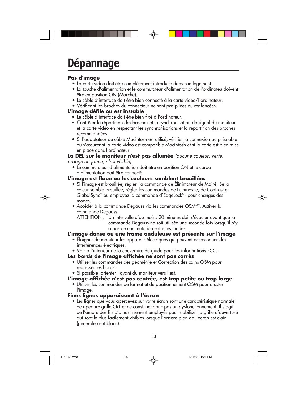# **Dépannage**

## **Pas d'image**

- La carte vidéo doit être complètement introduite dans son logement.
- La touche d'alimentation et le commutateur d'alimentation de l'ordinateu doivent être en position ON (Marche).
- Le câble d'interface doit être bien connecté à la carte vidéo/l'ordinateur.
- Vérifier si les broches du connecteur ne sont pas pliées ou renfoncées.

### **L'image défile ou est instable**

- Le câble d'interface doit être bien fixé à l'ordinateur.
- Contrôler la répartition des broches et la synchronisation de signal du moniteur et la carte vidéo en respectant les synchronisations et la répartition des broches recommandées.
- Si l'adaptateur de câble Macintosh est utilisé, vérifier la connexion au préalable ou s'assurer si la carte vidéo est compatible Macintosh et si la carte est bien mise en place dans l'ordinateur.

### **La DEL sur le moniteur n'est pas allumée** (aucune couleur, verte,

orange ou jaune, n'est visible)

• Le commutateur d'alimentation doit être en position ON et le cordo d'alimentation doit être connecté.

### **L'image est floue ou les couleurs semblent brouillées**

- Si l'image est brouillée, régler la commande de Élinimateur de Moiré. Se la coleur semble brouillée, régler les commandes de Luminosite, de Contrast et GlabalSync® ou employez la commande d'EdgeLock<sup>MC</sup> pour changes des modes.
- Accéder à la commande Degauss via les commandes OSMMC. Activer la commande Degauss.
	- ATTENTION : Un intervalle d'au moins 20 minutes doit s'écouler avant que la commande Degauss ne soit utilisée une seconde fois lorsqu'il n'y a pas de commutation entre les modes.

### **L'image danse ou une trame onduleuse est présente sur l'image**

- Éloigner du moniteur les appareils électriques qui peuvent occasionner des interférences électriques.
- Voir à l'intérieur de la couverture du guide pour les informations FCC.

## **Les bords de l'image affichée ne sont pas carrés**

- Utiliser les commandes des géométrie et Correction des coins OSM pour redresser les bords.
- Si possible, orienter l'avant du moniteur vers l'est.

### **L'image affichée n'est pas centrée, est trop petite ou trop large**

• Utiliser les commandes de format et de positionnement OSM pour ajuster l'image.

### **Fines lignes apparaissent à l'écran**

• Les lignes que vous apercevez sur votre écran sont une caractéristique normale de aperture grille CRT et ne constituet donc pas un dysfonctionnement. Il s'agit de l'ombre des fils d'amortissement employés pour stabiliser la grille d'ouverture qui sont le plus facilement visibles lorsque l'arrière-plan de l'écran est clair (géneralement blanc).

FP1355.wpc 35 1/19/01, 1:21 PM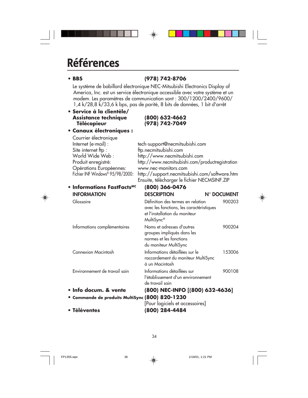# **Références**

# **• BBS (978) 742-8706**

Le système de babillard électronique NEC-Mitsubishi Electronics Display of America, Inc. est un service électronique accessible avec votre système et un modem. Les paramètres de communication sont : 300/1200/2400/9600/ 1,4 k/28,8 k/33,6 k bps, pas de parité, 8 bits de données, 1 bit d'arrêt

# **• Service à la clientèle/ Assistance technique (800) 632-4662 Télécopieur (978) 742-7049**

**• Canaux électroniques :**

Courrier électronique Internet (e-mail) : tech-support@necmitsubishi.com Site internet ftp : ftp.necmitsubishi.com World Wide Web : http://www.necmitsubishi.com Produit enregistré: http://www.necmitsubishi.com/productregistration Opérations Européennes: www.nec-monitors.com Fichier INF Windows® 95/98/2000: http://support.necmitsubishi.com/software.htm

Ensuite, télécharger le fichier NECMSINF.ZIP

| • Informations FastFacts <sup>mc</sup>          | (800) 366-0476                                                                                                               |             |
|-------------------------------------------------|------------------------------------------------------------------------------------------------------------------------------|-------------|
| <b>INFORMATION</b>                              | <b>DESCRIPTION</b>                                                                                                           | N° DOCUMENT |
| Glossaire                                       | Définition des termes en relation<br>avec les fonctions, les caractéristiques<br>et l'installation du moniteur<br>MultiSync® | 900203      |
| Informations complémentaires                    | Noms et adresses d'autres<br>groupes impliqués dans les<br>normes et les fonctions<br>du moniteur MultiSync                  | 900204      |
| <b>Connexion Macintosh</b>                      | Informations détaillées sur le<br>raccordement du moniteur MultiSync<br>à un Macintosh                                       | 153006      |
| Environnement de travail sain                   | Informations détaillées sur<br>l'établissement d'un environnement<br>de travail sain                                         | 900108      |
| · Info docum. & vente                           | (800) NEC-INFO [(800) 632-4636]                                                                                              |             |
| · Commande de produits MultiSync (800) 820-1230 | [Pour logiciels et accessoires]                                                                                              |             |
| • Téléventes                                    | (800) 284-4484                                                                                                               |             |

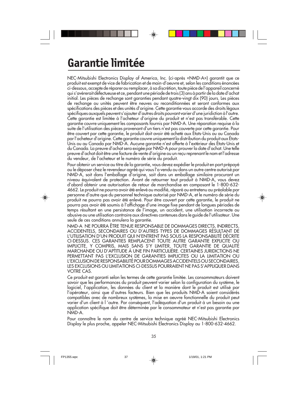# **Garantie limitée**

NEC-Mitsubishi Electronics Display of America, Inc. (ci-après «NMD-A») garantit que ce produit est exempt de vice de fabrication et de main-d'oeuvre et, selon les conditions énoncées ci-dessous, accepte de réparer ou remplacer, à sa discrétion, toute pièce de l'appareil concerné qui s'avérerait défectueuse et ce, pendant une période de trois (3) ans à partir de la date d'achat initial. Les pièces de rechange sont garanties pendant quatre-vingt dix (90) jours. Les pièces de rechange ou unités peuvent être neuves ou reconditionnées et seront conformes aux spécifications des pièces et des unités d'origine. Cette garantie vous accorde des droits légaux spécifiques auxquels peuvent s'ajouter d'autres droits pouvant varier d'une juridiction à l'autre. Cette garantie est limitée à l'acheteur d'origine du produit et n'est pas transférable. Cette garantie couvre uniquement les composants fournis par NMD-A. Une réparation requise à la suite de l'utilisation des pièces provenant d'un tiers n'est pas couverte par cette garantie. Pour être couvert par cette garantie, le produit doit avoir été acheté aux États-Unis ou au Canada par l'acheteur d'origine. Cette garantie couvre uniquement la distribution du produit aux États-Unis ou au Canada par NMD-A. Aucune garantie n'est offerte à l'extérieur des États-Unis et du Canada. La preuve d'achat sera exigée par NMD-A pour prouver la date d'achat. Une telle preuve d'achat doit être une facture de vente d'origine ou un reçu reprenant le nom et l'adresse du vendeur, de l'acheteur et le numéro de série du produit.

Pour obtenir un service au titre de la garantie, vous devez expédier le produit en port prépayé ou le déposer chez le revendeur agréé qui vous l'a vendu ou dans un autre centre autorisé par NMD-A, soit dans l'emballage d'origine, soit dans un emballage similaire procurant un niveau équivalent de protection. Avant de retourner tout produit à NMD-A, vous devez d'abord obtenir une autorisation de retour de marchandise en composant le 1-800-632- 4662. Le produit ne pourra avoir été enlevé ou modifié, réparé ou entretenu au préalable par personne d'autre que du personnel technique autorisé par NMD-A, et le numéro de série du produit ne pourra pas avoir été enlevé. Pour être couvert par cette garantie, le produit ne pourra pas avoir été soumis à l'affichage d'une image fixe pendant de longues périodes de temps résultant en une persistance de l'image, un accident, une utilisation incorrecte ou abusive ou une utilisation contraire aux directives contenues dans le guide de l'utilisateur. Une seule de ces conditions annulera la garantie.

NMD-A NE POURRA ÊTRE TENUE RESPONSABLE DE DOMMAGES DIRECTS, INDIRECTS, ACCIDENTELS, SECONDAIRES OU D'AUTRES TYPES DE DOMMAGES RÉSULTANT DE L'UTILISATION D'UN PRODUIT QUI N'ENTRENT PAS SOUS LA RESPONSABILITÉ DÉCRITE CI-DESSUS. CES GARANTIES REMPLACENT TOUTE AUTRE GARANTIE EXPLICITE OU IMPLICITE, Y COMPRIS, MAIS SANS S'Y LIMITER, TOUTE GARANTIE DE QUALITÉ MARCHANDE OU D'APTITUDE À UNE FIN PARTICULIÈRE. CERTAINES JURIDICTIONS NE PERMETTANT PAS L'EXCLUSION DE GARANTIES IMPLICITES OU LA LIMITATION OU L'EXCLUSION DE RESPONSABILITÉ POUR DOMMAGES ACCIDENTELS OU SECONDAIRES, LES EXCLUSIONS OU LIMITATIONS CI-DESSUS POURRAIENT NE PAS S'APPLIQUER DANS VOTRE CAS.

Ce produit est garanti selon les termes de cette garantie limitée. Les consommateurs doivent savoir que les performances du produit peuvent varier selon la configuration du système, le logiciel, l'application, les données du client et la manière dont le produit est utilisé par l'opérateur, ainsi que d'autres facteurs. Bien que les produits NMD-A soient considérés compatibles avec de nombreux systèmes, la mise en oeuvre fonctionnelle du produit peut varier d'un client à l 'autre. Par conséquent, l'adéquation d'un produit à un besoin ou une application spécifique doit être déterminée par le consommateur et n'est pas garantie par NMD-A.

Pour connaître le nom du centre de service technique agréé NEC-Mitsubishi Electronics Display le plus proche, appeler NEC-Mitsubishi Electronics Display au 1-800-632-4662.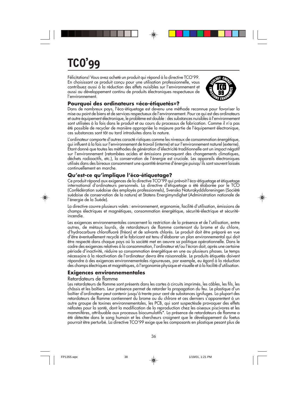# **TCO'99**

Félicitations! Vous avez acheté un produit qui répond à la directive TCO'99. En choisissant ce produit conçu pour une utilisation professionnelle, vous contribuez aussi à la réduction des effets nuisibles sur l'environnement et aussi au développement continu de produits électroniques respectueux de l'environnement.



### **Pourquoi des ordinateurs «éco-étiquetés»?**

Dans de nombreux pays, l'éco-étiquetage est devenu une méthode reconnue pour favoriser la mise au point de biens et de services respectueux de l'environnement. Pour ce qui est des ordinateurs et autre équipement électronique, le problème est double : des substances nuisibles à l'environnement sont utilisées à la fois dans le produit et au cours du processus de fabrication. Comme il n'a pas été possible de recycler de manière appropriée la majeure partie de l'équipement électronique, ces substances sont tôt ou tard introduites dans la nature.

L'ordinateur comporte d'autres caracté ristiques comme les niveaux de consommation énergétique, qui influent à la fois sur l'environnement de travail (interne) et sur l'environnement naturel (externe). Étant donné que toutes les méthodes de génération d'électricité traditionnelle ont un impact négatif sur l'environnement (retombées acides et émissions provoquant des changements climatiques, déchets radioactifs, etc.), la conservation de l'énergie est cruciale. Les appareils électroniques utilisés dans des bireaux consomment une quantité énorme d'énergie puisqu'ils sont souvent laissés continuellement en marche.

### **Qu'est-ce qu'implique l'éco-étiquetage?**

Ce produit répond aux exigences de la directive TCO'99 qui prévoit l'éco-étiquetage et étiquetage international d'ordinateurs personnels. La directive d'étiquetage a été élaborée par le TCO (Confédération suédoise des employés professionnels), Svenska Naturakyddsforeningen (Société suédoise de conservation de la nature) et Statens Energimyndighet (Administration nationale de l'énergie de la Suéde).

La directive couvre plusieurs volets : environnement, ergonomie, facilité d'utilisation, émissions de champs électriques et magnétiques, consommation énergétique, sécurité-électrique et sécuritéincendie.

Les exigences environnementales concernent la restriction de la présence et de l'utilisation, entre autres, de métaux lourds, de retardateurs de flamme contenant du brome et du chlore, d'hydrocarbure chlorofluoré (fréon) et de solvants chlorés. Le produit doit être préparé en vue d'être éventuellement recyclé et le fabricant est tenu d'élaborer un plan environnemental qui doit être respecté dans chaque pays où la société met en oeuvre sa politique opérationnelle. Dans le cadre des exigences relatives à la consommation, l'ordinateur et/ou l'écran doit, après une certaine période d'inactivité, réduire sa consommation énergétique en une ou plusieurs phases. Le temps nécessaire à la réactivation de l'ordinateur devra être raisonnable. Le produits étiquetés doivent répondre à des exigences environnementales rigoureuses, par exemple, eu égard à la réduction des champs électriques et magnétiques, à l'ergonomie physique et visuelle et à la facilité d'utilisation.

#### **Exigences environnementales**

#### Retardateurs de flamme

Les retardateurs de flamme sont présents dans les cartes à circuits imprimés, les câbles, les fils, les châssis et les boîtiers. Leur présence permet de retarder la propagation du feu. Le plastique d'un boîtier d'ordinateur peut contenir jusqu'à trente pour cent de substances ignifuges. La plupart des retardateurs de flamme contiennent du brome ou du chlrore et ces derniers s'apparentent à un autre groupe de toxines environnementales, les PCB, qui sont suspectésde provoquer des effets néfastes pour la santé, dont la modification de la reproduction chez les oiseaux piscivores et les mammifères, attribuable aux processus biocumulatifs\*. La présence de retardateurs de flamme a été détectée dans le sang humain et les chercheurs craignent que le développement du foetus pourrait être perturbé. La directive TCO'99 exige que les composants en plastique pesant plus de

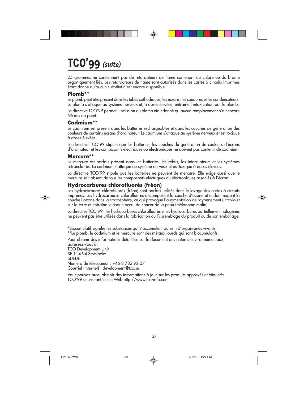# **TCO'99** *(suite)*

25 grammes ne contiennent pas de retardateurs de flame contenant du chlore ou du brome organiquement liés. Les retardateurs de flame sont autorisés dans les cartes à circuits imprimés étant donné qu'aucun substitut n'est encore disponible.

### **Plomb\*\***

Le plomb peut être présent dans les tubes cathodiques, les écrans, les soudures et les condensateurs. Le plomb s'attaque au système nerveux et, à doses élevées, entraîne l'intoxication par le plomb.

La directive TCO'99 permet l'inclusion du plomb était donné qu'aucun remplacement n'ait encore été mis au point.

### **Cadmium\*\***

Le cadmium est présent dans les batteries rechargeables et dans les couches de génération des couleurs de certains écrans d'ordinateur. Le cadmium s'attaque au système nerveux et est toxique à doses élevées.

La directive TCO'99 stipule que les batteries, les couches de génération de couleurs d'écrans d'ordinateur et les composants électriques ou électroniques ne doivent pas contenir de cadmium.

#### **Mercure\*\***

Le mercure est parfois présent dans les batteries, les relais, les interrupteurs et les systèmes rétroéclairés. Le cadmium s'attaque au système nerveux et est toxique à doses élevées.

La directive TCO'99 stipule que les batteries ne peuvent de mercure. Elle exige aussi que le mercure soit absent de tous les composants électriques ou électroniques associés à l'écran.

### **Hydrocarbures chlorofluorés (fréon)**

Les hydrocarbures chlorofluorés (fréon) sont parfois utilisés dans le lavage des cartes à circuits imprimés. Les hydrocarbures chlorofluorés décomposent la couche d'ozone et endommagent la couche l'ozone dans la stratosphère, ce qui provoque l'augmentation de rayonnement ultraviolet sur la terre et entraîne le risque accru de cancer de la peau (mélanome malin).

La directive TCO'99 : les hydrocarbures chlorofluorés et les hydrocarbures partiellement halogénés ne peuvent pas être utilisés dans la fabrication ou l'assemblage du produit ou de son emballage.

\*Biocumulatif signifie les substances qui s'accumulent au sein d'organismes vivants. \*\*Le plomb, le cadmium et le mercure sont des métaux lourds qui sont biocumulatifs.

Pour obtenir des informations détaillées sur le document des critères environnementaux, adressez-vous á: TCO Development Unit SE 114 94 Stockholm **SUEDE** 

Numéro de télécopieur : +46 8 782 92 07 Courriel (Internet) : development@tco.se

Vous pouvez aussi obtenir des informations à jour sur les produits approvés et étiquetés TCO'99 en visitant le site Web http://www.tco-info.com

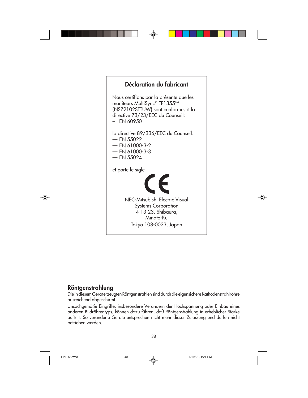

# **Röntgenstrahlung**

Die in diesem Gerät erzeugten Röntgenstrahlen sind durch die eigensichere Kathodenstrahlröhre ausreichend abgeschirmt.

Unsachgemäße Eingriffe, insbesondere Verändern der Hochspannung oder Einbau eines anderen Bildröhrentyps, können dazu führen, daß Röntgenstrahlung in erheblicher Stärke auftritt. So veränderte Geräte entsprechen nicht mehr dieser Zulassung und dürfen nicht betrieben werden.

38

◈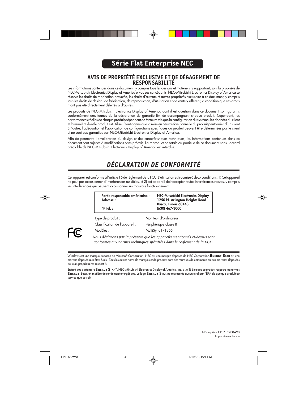

# **Série Flat Enterprise NEC**

# **AVIS DE PROPRIÉTÉ EXCLUSIVE ET DE DÉGAGEMENT DE RESPONSABILITÉ**

Les informations contenues dans ce document, y compris tous les designs et matériel s'y rapportant, sont la propriété de NEC-Mitsubishi Electronics Display of America et/ou ses concédants. NEC-Mitsubishi Electronics Display of America se réserve les droits de fabrication brevetée, les droits d'auteurs et autres propriétés exclusives à ce document, y compris tous les droits de design, de fabrication, de reproduction, d'utilisation et de vente y afférent, à condition que ces droits n'ont pas été directement délivrés à d'autres.

Les produits de NEC-Mitsubishi Electronics Display of America dont il est question dans ce document sont garantis conformément aux termes de la déclaration de garantie limitée accompagnant chaque produit. Cependant, les performances réelles de chaque produit dépendent de facteurs tels que la configuration du système, les données du client et la manière dont le produit est utilisé. Étant donné que la mise en oeuvre fonctionnelle du produit peut varier d'un client à l'autre, l'adéquation et l'application de configurations spécifiques du produit peuvent être déterminées par le client et ne sont pas garanties par NEC-Mitsubishi Electronics Display of America.

Afin de permettre l'amélioration du design et des caractéristiques techniques, les informations contenues dans ce document sont sujettes à modifications sans préavis. La reproduction totale ou partielle de ce document sans l'accord préalable de NEC-Mitsubishi Electronics Display of America est interdite.

# *DÉCLARATION DE CONFORMITÉ*

Cet appareil est conforme à l'article 15 du règlement de la FCC. L'utilisation est soumise à deux conditions. 1) Cet appareil ne peut pas occasionner d'interférences nuisibles, et 2) cet appareil doit accepter toutes interférences reçues, y compris les interférences qui peuvent occasionner un mauvais fonctionnement.

| Adresse:                                                      | 1250 N. Arlington Heights Road |
|---------------------------------------------------------------|--------------------------------|
| Itasca, Illinois 60143<br>(630) 467-3000<br>$N^{\circ}$ tél.: |                                |



⊕

Classification de l'appareil : Périphérique classe B Modèles : MultiSync FP1355

Type de produit : Moniteur d'ordinateur

*Nous déclarons par la présente que les appareils mentionnés ci-dessus sont conformes aux normes techniques spécifiées dans le règlement de la FCC.*

Windows est une marque déposée de Microsoft Corporation. NEC est une marque déposée de NEC Corporation.**ENERGY STAR** est une marque déposée aux États-Unis. Tous les autres noms de marques et de produits sont des marques de commerce ou des marques déposées de leurs propriétaires respectifs.

En tant que partenaire **ENERGY STAR®**, NEC-Mitsubishi Electronics Display of America, Inc. a veillé à ce que ce produit respecte les normes **ENERGY STAR** en matière de rendement énergétique. Le logo **ENERGY STAR** ne représente aucun aval par l'EPA de quelque produit ou service que ce soit.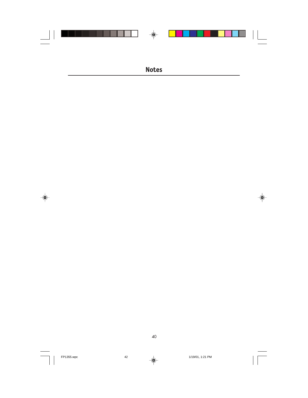| .<br>. . | $\bigoplus$  | <u>en de la Bi</u><br><u> Timba k</u> |  |
|----------|--------------|---------------------------------------|--|
|          | <b>Notes</b> |                                       |  |

40

$$
1/19/01, 1:21 \, \text{PM}
$$

 $\Rightarrow$ 

 $\begin{array}{|c|c|} \hline \quad \quad & \quad \quad & \quad \quad \\ \hline \quad \quad & \quad \quad & \quad \quad \\ \hline \quad \quad & \quad \quad & \quad \quad \\ \hline \end{array}$ 

FP1355.wpc 42 42

 $\spadesuit$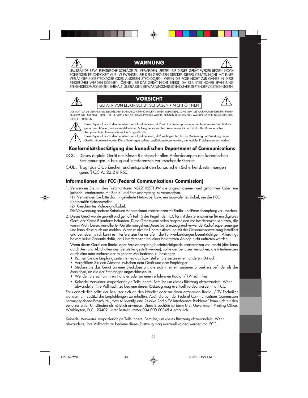# **WARNUNG**

UM BRÄNDE BZW. ELEKTRISCHE SCHLÄGE ZU VERMEIDEN, SETZEN SIE DIESES GERÄT WEDER REGEN NOCH SONSTIGER FEUCHTIGKEIT AUS. VERWENDEN SIE DEN GEPOLTEN STECKER DIESES GERÄTS NICHT MIT EINER VERLÄNGERUNGSSTECKDOSE ODER ANDEREN STECKDOSEN, WENN DIE POLE NICHT ZUR GÄNZE IN DIESE EINGEFÜHRT WERDEN KÖNNEN. ÖFFNEN SIE DAS GERÄT NICHT SELBST, DA ES UNTER HOHER SPANNUNG STEHENDE KOMPONENTEN ENTHÄLT. ÜBERLASSEN SIE WARTUNGSARBEITEN QUALIFIZIERTEN SERVICETECHNIKERN.

### **VORSICHT** GEFAHR VON ELEKTRISCHEN SCHLÄGEN • NICHT ÖFFNEN

VORSICHT: UM DIE GEFAHR EINES ELEKTRISCHEN SCHLAGS ZU VERRINGERN, ENTFERNEN SIE DIE ABDECKUNG (BZW. DIE RÜCKWAND) NICHT. IM INNEREN DES GERÄTS BEFINDEN SICH KEINE TEILE, DIE VOM BENUTZER SELBST GEWARTET WERDEN KÖNNEN. ÜBERLASSEN SIE WARTUNGSARBEITEN QUALIFIZIERTEN **SERVICETECHNIKERN** 



1

Dieses Symbol macht den Benutzer darauf aufmerksam, daß nicht isolierte Spannungen im Inneren des Geräts stark genug sein können, um einen elektrischen Schlag hervorzurufen. Aus diesem Grund ist das Berühren jeglicher Komponente im Inneren dieses Geräts gefährlich.

Dieses Symbol macht den Benutzer darauf aufmerksam, daß wichtige Literatur zur Bedienung und Wartung dieses Geräts mitgeliefert wurde. Diese Unterlagen sollten sorgfältig gelesen werden, um jegliche Probleme zu vermeiden.

#### **Konformitätsbestätigung des kanadischen Department of Communications**

- DOC : Dieses digitale Gerät der Klasse B entspricht allen Anforderungen der kanadischen Bestimmungen in bezug auf Interferenzen verursachende Geräte.
- C-UL : Trägt das C-UL-Zeichen und entspricht den kanadischen Sicherheitsbestimmungen gemäß C.S.A. 22.2 # 950.

### **Informationen der FCC (Federal Communications Commission)**

- 1. Verwenden Sie mit den Farbmonitoren NSZ2102STTUW die angeschlossenen und genannten Kabel, um keinerlei Interferenzen mit Radio- und Fernsehempfang zu verursachen.
	- (1) Verwenden Sie bitte das mitgelieferte Netzkabel bzw. ein äquivalentes Kabel, um die FCC-Konformität sicherzustellen.
	- (2) Geschirmtes Videosignalkabel.

Die Verwendung anderer Kabel und Adapter kann Interferenzen mit Radio- und Fernsehempfang verursachen.

2. Dieses Gerät wurde geprüft und gemäß Teil 15 der Regeln der FCC für mit den Grenzwerten für ein digitales Gerät der Klasse B konform befunden. Diese Grenzwerte sollen angemessen vor Interferenzen schützen, die von im Wohnbereich installierten Geräten ausgehen. Dieses Gerät erzeugt und verwendet Radiofrequenzenergie und kann diese auch ausstrahlen. Wenn es nicht in Übereinstimmung mit der Gebrauchsanweisung installiert und betrieben wird, kann es Interferenzen hervorrufen, die Funkverbindungen beeinträchtigen. Allerdings besteht keine Garantie dafür, daß Interferenzen bei einer bestimmten Anlage nicht auftreten werden. .

Wenn dieses Gerät den Radio- oder Fernsehempfang beeinträchtigende Interferenzen verursacht (dies kann durch An- und Abschalten des Geräts festgestellt werden), sollte der Benutzer versuchen, die Interferenzen durch eine oder mehrere der folgenden Maßnahmen zu beseitigen:

- Richten Sie die Empfangsantenne neu aus bzw. stellen Sie sie an einem anderen Ort auf.
- Vergrößern Sie den Abstand zwischen dem Gerät und dem Empfänger.
- Stecken Sie das Gerät an eine Steckdose an, die sich in einem anderen Stromkreis befindet als die Steckdose, an die der Empfänger angeschlossen ist.
- Wenden Sie sich an Ihren Händler oder an einen erfahrenen Radio- / TV-Techniker.
- Keinerlei Verwerter strapazierfähige Teile Innere. Bemühe um dieses Rüstzeug abzuwandeln. Wenn abwandelte, Ihre Vollmacht zu bediene dieses Rüstzeug mag eventuell voided werden mal FCC.

Falls erforderlich sollte der Benutzer sich an den Händler oder an einen erfahrenen Radio- / TV-Techniker wenden, um zusätzliche Empfehlungen zu erhalten. Auch die von der Federal Communications Commission herausgegebene Broschüre "How to Identify and Resolve Radio-TV Interference Problems" kann sich für den Benutzer unter Umständen als nützlich erweisen. Diese Broschüre ist beim U.S. Government Printing Office, Washington, D.C., 20402, unter Bestellnummer 004-000-00345-4 erhältlich.

41

Keinerlei Verwerter strapazierfähige Teile Innere. Bemühe, um dieses Rüstzeug abzuwandeln. Wenn abwandelte, Ihre Vollmacht zu bediene dieses Rüstzeug mag eventuell voided werden mal FCC.

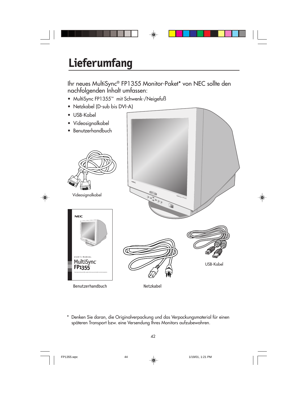| <b>Lieferumfang</b>                                                                                                                                                                                                                   |  |
|---------------------------------------------------------------------------------------------------------------------------------------------------------------------------------------------------------------------------------------|--|
| Ihr neues MultiSync® FP1355 Monitor-Paket* von NEC sollte den nachfolgenden Inhalt umfassen:<br>● MultiSync FP1355™ mit Schwenk-/Neigefuß<br>• Netzkabel (D-sub bis DVI-A)<br>• USB-Kabel<br>• Videosignalkabel<br>• Benutzerhandbuch |  |
| NEC                                                                                                                                                                                                                                   |  |
| Videosignalkabel<br>MultiSync FP1355<br><b>DOODS</b><br><b>NEC</b><br>USER'S MANUAL<br>MultiSync<br>FP1355<br>USB-Kabel                                                                                                               |  |
| Benutzerhandbuch<br>Netzkabel                                                                                                                                                                                                         |  |

\* Denken Sie daran, die Originalverpackung und das Verpackungsmaterial für einen späteren Transport bzw. eine Versendung Ihres Monitors aufzubewahren.

FP1355.wpc 44 1/19/01, 1:21 PM

 $\overline{\overline{\phantom{m}}}$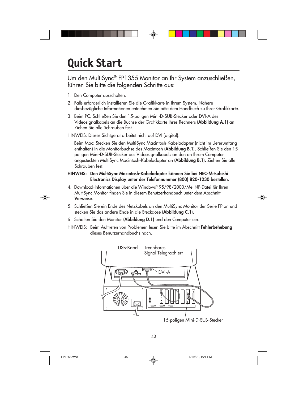# **Quick Start**

Um den MultiSync® FP1355 Monitor an Ihr System anzuschließen, führen Sie bitte die folgenden Schritte aus:

- 1. Den Computer ausschalten.
- 2. Falls erforderlich installieren Sie die Grafikkarte in Ihrem System. Nähere diesbezügliche Informationen entnehmen Sie bitte dem Handbuch zu Ihrer Grafikkarte.
- 3. Beim PC: Schließen Sie den 15-poligen Mini-D-SUB-Stecker oder DVI-A des Videosignalkabels an die Buchse der Grafikkarte Ihres Rechners **(Abbildung A.1)** an. Ziehen Sie alle Schrauben fest.

HINWEIS: Dieses Sichtgerät arbeitet nicht auf DVI (digital).

Beim Mac: Stecken Sie den MultiSync Macintosh-Kabeladapter (nicht im Lieferumfang enthalten) in die Monitorbuchse des Macintosh **(Abbildung B.1).** Schließen Sie den 15 poligen Mini-D-SUB-Stecker des Videosignalkabels an den an Ihrem Computer angesteckten MultiSync Macintosh-Kabeladapter an **(Abbildung B.1).** Ziehen Sie alle Schrauben fest.

### **HINWEIS: Den MultiSync Macintosh-Kabeladapter können Sie bei NEC-Mitsubishi Electronics Display unter der Telefonnummer (800) 820-1230 bestellen.**

- 4. Download-Informationen über die Windows® 95/98/2000/Me INF-Datei für Ihren MultiSync Monitor finden Sie in diesem Benutzerhandbuch unter dem Abschnitt **Verweise**.
- 5. Schließen Sie ein Ende des Netzkabels an den MultiSync Monitor der Serie FP an und stecken Sie das andere Ende in die Steckdose **(Abbildung C.1).**
- 6. Schalten Sie den Monitor **(Abbildung D.1)** und den Computer ein.
- HINWEIS: Beim Auftreten von Problemen lesen Sie bitte im Abschnitt **Fehlerbehebung** dieses Benutzerhandbuchs nach.

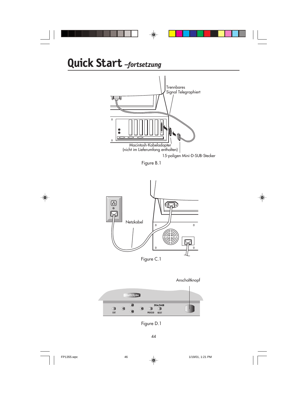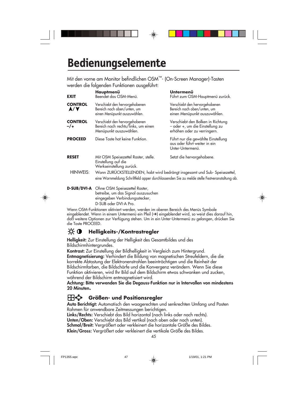# **Bedienungselemente**

Mit den vorne am Monitor befindlichen OSM™- (On-Screen Manager)-Tasten werden die folgenden Funktionen ausgeführt:

| <b>EXIT</b>             | Hauptmenü<br>Beendet das OSM-Menü.                                                                                                                                        | Untermenü<br>Führt zum OSM-Hauptmenü zurück.                                                        |
|-------------------------|---------------------------------------------------------------------------------------------------------------------------------------------------------------------------|-----------------------------------------------------------------------------------------------------|
| <b>CONTROL</b><br>A/V   | Verschiebt den hervorgehobenen<br>Bereich nach oben/unten, um<br>einen Menüpunkt auszuwählen.                                                                             | Verschiebt den hervorgehobenen<br>Bereich nach oben/unten, um<br>einen Menüpunkt auszuwählen.       |
| <b>CONTROL</b><br>$-/-$ | Verschiebt den hervorgehobenen<br>Bereich nach rechts/links, um einen<br>Menüpunkt auszuwählen.                                                                           | Verschiebt den Balken in Richtung<br>- oder +, um die Einstellung zu<br>erhöhen oder zu verringern. |
| <b>PROCEED</b>          | Diese Taste hat keine Funktion.                                                                                                                                           | Führt nur die gewählte Einstellung<br>aus oder führt weiter in ein<br>Unter-Untermenü.              |
| <b>RESET</b>            | Mit OSM Speisezettel Raster, stelle.<br>Einstellung auf die<br>Werkseinstellung zurück.                                                                                   | Setzt die hervorgehobene.                                                                           |
| HINWEIS:                | Wann ZURÜCKSTELLENDEN, habt wird bedrängt insgesamt und Sub- Speisezettel,<br>eine Warnmeldung Schriftfeld apper durchlassenden Sie zu melde stelle Festveranstaltung ab. |                                                                                                     |
|                         | D-SUB/DVI-A Ohne OSM Speisezettel Raster,                                                                                                                                 |                                                                                                     |

betreibe, um das Signal auszusuchen eingegeben Verbindungsstecker, D-SUB oder DVI-A Pro.

Wenn OSM-Funktionen aktiviert werden, werden im oberen Bereich des Menüs Symbole eingeblendet. Wenn in einem Untermenü ein Pfeil (➔) eingeblendet wird, so weist dies darauf hin, daß weitere Optionen zur Verfügung stehen. Um in ein Unter-Untermenü zu gelangen, drücken Sie die Taste PROCEED.

#### $\phi$  o  **Helligkeits-/Kontrastregler**

**Helligkeit:** Zur Einstellung der Helligkeit des Gesamtbildes und des Bildschirmhintergrundes.

**Kontrast:** Zur Einstellung der Bildhelligkeit in Vergleich zum Hintergrund. **Entmagnetisierung:** Verhindert die Bildung von magnetischen Streufeldern, die die korrekte Abtastung der Elektronenstrahlen beeinträchtigen und die Reinheit der Bildschirmfarben, die Bildschärfe und die Konvergenz verändern. Wenn Sie diese Funktion aktivieren, wird Ihr Bild auf dem Bildschirm etwas schwanken und zucken, während der Bildschirm entmagnetisiert wird.

**Achtung: Bitte verwenden Sie die Degauss-Funktion nur in Intervallen von mindestens 20 Minuten.**

#### ਸ਼ਿਾ⊕  **Größen- und Positionsregler**

**Auto Berichtigt:** Automatisch den waagerechten und senkrechten Umfang und Posten Rahmen für anwendbare Zeitmessungen berichtigen. **Links/Rechts:** Verschiebt das Bild horizontal (nach links oder nach rechts). **Unten/Oben:** Verschiebt das Bild vertikal (nach oben oder nach unten). **Schmal/Breit:** Vergrößert oder verkleinert die horizontale Größe des Bildes. **Klein/Gross:** Vergrößert oder verkleinert die vertikale Größe des Bildes.

◈

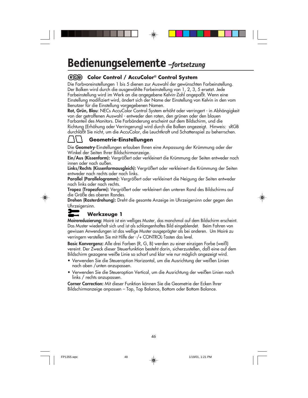# **Bedienungselemente** *–fortsetzung*

# **Color Control / AccuColor® Control System**

Die Farbvoreinstellungen 1 bis 5 dienen zur Auswahl der gewünschten Farbeinstellung. Der Balken wird durch die ausgewählte Farbeinstellung von 1, 2, 3, 5 ersetzt. Jede Farbeinstellung wird im Werk an die angegebene Kelvin-Zahl angepaßt. Wenn eine Einstellung modifiziert wird, ändert sich der Name der Einstellung von Kelvin in den vom Benutzer für die Einstellung vorgegebenen Namen.

**Rot, Grün, Blau**: NECs AccuColor Control System erhöht oder verringert - in Abhängigkeit von der getroffenen Auswahl - entweder den roten, den grünen oder den blauen Farbanteil des Monitors. Die Farbänderung erscheint auf dem Bildschirm, und die Richtung (Erhöhung oder Verringerung) wird durch die Balken angezeigt. Hinweis: sRGB durchläßt Sie nicht, um die AccuColor, die Leuchtkraft und Schattenspiel zu beherrschen.

# **Geometrie-Einstellungen**

Die **Geometry**-Einstellungen erlauben Ihnen eine Anpassung der Krümmung oder der Winkel der Seiten Ihrer Bildschirmanzeige.

**Ein/Aus (Kissenform):** Vergrößert oder verkleinert die Krümmung der Seiten entweder nach innen oder nach außen.

**Links/Rechts (Kissenformausgleich):** Vergrößert oder verkleinert die Krümmung der Seiten entweder nach rechts oder nach links.

**Parallel (Parallelogramm):** Vergrößert oder verkleinert die Neigung der Seiten entweder nach links oder nach rechts.

**Trapez (Trapezform):** Vergrößert oder verkleinert den unteren Rand des Bildschirms auf die Größe des oberen Randes.

**Drehen (Rasterdrehung):** Dreht die gesamte Anzeige im Uhrzeigersinn oder gegen den Uhrzeigersinn.

# **Werkzeuge 1**

**Moirereduzierung:** Moiré ist ein welliges Muster, das manchmal auf dem Bildschirm erscheint. Das Muster wiederholt sich und ist als schlangenhaftes Bild eingeblendet. Beim Fahren von gewissen Anwendungen ist das wellige Muster ausgeprägter als bei anderen. Um Moiré zu verringern verstellen Sie mit Hilfe der -/+ CONTROL-Tasten das level.

**Basic Konvergenz:** Alle drei Farben (R, G, B) werden zu einer einzigen Farbe (weiß) vereint. Der Zweck dieser Steuerfunktion besteht darin, sicherzustellen, daß eine auf dem Bildschirm gezogene weiße Linie so scharf und klar wie nur möglich angezeigt wird.

- Verwenden Sie die Steueroption Horizontal, um die Ausrichtung der weißen Linien nach oben /unten anzupassen.
- Verwenden Sie die Steueroption Vertical, um die Ausrichtung der weißen Linien nach links / rechts anzupassen.

46

**Corner Correction:** Mit dieser Funktion können Sie die Geometrie der Ecken lhrer Bildschirmanzeige anpassen – Top, Top Balance, Bottom oder Bottom Balance.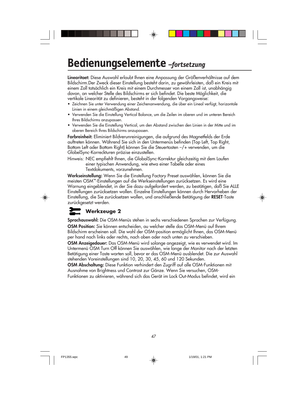# **Bedienungselemente** *–fortsetzung*

**Linearitaet:** Diese Auswahl erlaubt Ihnen eine Anpassung der Größenverhältnisse auf dem Bildschirm.Der Zweck dieser Einstellung besteht darin, zu gewährleisten, daß ein Kreis mit einem Zoll tatsächlich ein Kreis mit einem Durchmesser von einem Zoll ist, unabhängig davon, an welcher Stelle des Bildschirms er sich befindet. Die beste Möglichkeit, die vertikale Linearität zu definieren, besteht in der folgenden Vorgangsweise:

- Zeichnen Sie unter Verwendung einer Zeichenanwendung, die über ein Lineal verfügt, horizontale Linien in einem gleichmäßigen Abstand.
- Verwenden Sie die Einstellung Vertical Balance, um die Zeilen im oberen und im unteren Bereich Ihres Bildschirms anzupassen.
- Verwenden Sie die Einstellung Vertical, um den Abstand zwischen den Linien in der Mitte und im oberen Bereich Ihres Bildschirms anzupassen.

**Farbreinheit:** Eliminiert Bildverunreinigungen, die aufgrund des Magnetfelds der Erde auftreten können. Während Sie sich in den Untermenüs befinden (Top Left, Top Right, Bottom Left oder Bottom Right) können Sie die Steuertasten –/+ verwenden, um die GlobelSync-Korreckturen präzise einzustellen.

Hinweis: NEC empfiehlt Ihnen, die GlobalSync-Korrektur gleichzeitig mit dem Laufen einer typischen Anwendung, wie etwa einer Tabelle oder eines Textdokuments, vorzunehmen.

**Werkseinstellung:** Wenn Sie die Einstellung Factory Preset auswählen, können Sie die meisten OSM**™**-Einstellungen auf die Werkseinstellungen zurücksetzen. Es wird eine Warnung eingeblendet, in der Sie dazu aufgefordert werden, zu bestätigen, daß Sie ALLE Einstellungen zurücksetzen wollen. Einzelne Einstellungen können durch Hervorheben der Einstellung, die Sie zurücksetzen wollen, und anschließende Betätigung der **RESET**-Taste zurückgesetzt werden.

# **Werkzeuge 2**

**Sprachauswahl:** Die OSM-Menüs stehen in sechs verschiedenen Sprachen zur Verfügung. **OSM Position:** Sie können entscheiden, au welcher stelle das OSM-Menü auf Ihrem Bildschirm erscheinen soll. Die wahl der OSM-position ermöglicht Ihnen, das OSM-Menü per hand nach links oder rechts, nach oben oder nach unten zu verschieben.

**OSM Anzeigedauer:** Das OSM-Menü wird solange angezeigt, wie es verwendet wird. Im Untermenü OSM Turn Off können Sie auswählen, wie lange der Monitor nach der letzten Betätigung einer Taste warten soll, bevor er das OSM-Menü ausblendet. Die zur Auswahl stehenden Voreinstellungen sind 10, 20, 30, 45, 60 und 120 Sekunden.

**OSM Abschaltung:** Diese Funktion verhindert den Zugriff auf alle OSM-Funktionen mit Ausnahme von Brightness und Contrast zur Gänze. Wenn Sie versuchen, OSM-Funktionen zu aktivieren, während sich das Gerät im Lock Out-Modus befindet, wird ein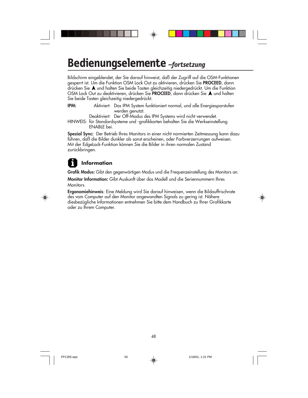# **Bedienungselemente** *–fortsetzung*

Bildschirm eingeblendet, der Sie darauf hinweist, daß der Zugriff auf die OSM-Funktionen gesperrt ist. Um die Funktion OSM Lock Out zu aktivieren, drücken Sie **PROCEED**, dann drücken Sie A und halten Sie beide Tasten gleichzeitig niedergedrückt. Um die Funktion OSM Lock Out zu deaktivieren, drücken Sie PROCEED, dann drücken Sie A und halten Sie beide Tasten gleichzeitig niedergedrückt.

**IPM:** Aktiviert: Das IPM System funktioniert normal, und alle Energiesparstufen werden genutzt.

Deaktiviert: Der Off-Modus des IPM Systems wird nicht verwendet. HINWEIS: für Standardsysteme und -grafikkarten behalten Sie die Werkseinstellung ENABLE bei.

**Spezial Sync:** Der Betrieb Ihres Monitors in einer nicht normierten Zeitmessung kann dazu führen, daß die Bilder dunkler als sonst erscheinen, oder Farbverzerrungen aufweisen. Mit der EdgeLock-Funktion können Sie die Bilder in ihren normalen Zustand zurückbringen.

# **Information**

**Grafik Modus:** Gibt den gegenwärtigen Modus und die Frequenzeinstellung des Monitors an.

**Monitor Information:** Gibt Auskunft über das Modell und die Seriennummern Ihres Monitors.

**Ergonomiehinweis**: Eine Meldung wird Sie darauf hinweisen, wenn die Bildauffrischrate des vom Computer auf den Monitor angewandten Signals zu gering ist. Nähere diesbezügliche Informationen entnehmen Sie bitte dem Handbuch zu Ihrer Grafikkarte oder zu Ihrem Computer.

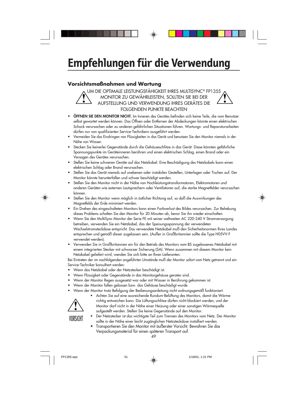# **Empfehlungen für die Verwendung**

# **Vorsichtsmaßnahmen und Wartung**

## UM DIE OPTIMALE LEISTUNGSFÄHIGKEIT IHRES MULTISYNC® FP1355 MONITOR ZU GEWÄHRLEISTEN, SOLLTEN SIE BEI DER AUFSTELLUNG UND VERWENDUNG IHRES GERÄTES DIE FOLGENDEN PUNKTE BEACHTEN

- **ÖFFNEN SIE DEN MONITOR NICHT.** Im Inneren des Gerätes befinden sich keine Teile, die vom Benutzer selbst gewartet werden können. Das Öffnen oder Entfernen der Abdeckungen könnte einen elektrischen Schock verursachen oder zu anderen gefährlichen Situationen führen. Wartungs- und Reparaturarbeiten dürfen nur von qualifizierten Service-Technikern ausgeführt werden.
- **•** Vermeiden Sie das Eindringen von Flüssigkeiten in das Gerät und benutzen Sie den Monitor niemals in der Nähe von Wasser.
- **•** Stecken Sie keinerlei Gegenstände durch die Gehäuseschlitze in das Gerät. Diese könnten gefährliche Spannungspunkte im Geräteinneren berühren und einen elektrischen Schlag, einen Brand oder ein Versagen des Gerätes verursachen.
- **•** Stellen Sie keine schweren Geräte auf das Netzkabel. Eine Beschädigung des Netzkabels kann einen elektrischen Schlag oder Brand verursachen.
- **•** Stellen Sie das Gerät niemals auf unebenen oder instabilen Gestellen, Unterlagen oder Tischen auf. Der Monitor könnte herunterfallen und schwer beschädigt werden.
- **•** Stellen Sie den Monitor nicht in der Nähe von Hochleistungstransformatoren, Elektromotoren und anderen Geräten wie externen Lautsprechern oder Ventilatoren auf, die starke Magnetfelder verursachen können.
- **•** Stellen Sie den Monitor wenn möglich in östlicher Richtung auf, so daß die Auswirkungen des Magnetfelds der Erde minimiert werden.
- **•** Ein Drehen des eingeschalteten Monitors kann einen Farbverlust des Bildes verursachen. Zur Behebung dieses Problems schalten Sie den Monitor für 20 Minuten ab, bevor Sie ihn wieder einschalten.
- **•** Wenn Sie den MultiSync Monitor der Serie FE mit seiner weltweiten AC 220-240 V Stromversorgung betreiben, verwenden Sie ein Netzkabel, das der Speisungsspannung der verwendeten Wechselstromsteckdose entspricht. Das verwendete Netzkabel muß den Sicherheitsnormen Ihres Landes entsprechen und gemäß dieser zugelassen sein. (Außer in Großbritannien sollte die Type H05VV-F verwendet werden).
- **•** Verwenden Sie in Großbritannien ein für den Betrieb des Monitors vom BS zugelassenes Netzkabel mit einem integrierten Stecker mit schwarzer Sicherung (SA). Wenn zusammen mit diesem Monitor kein Netzkabel geliefert wird, wenden Sie sich bitte an Ihren Lieferanten.

Bei Eintreten der im nachfolgenden angeführten Umstände muß der Monitor sofort vom Netz getrennt und ein Service-Techniker konsultiert werden:

- **•** Wenn das Netzkabel oder der Netzstecker beschädigt ist.
- **•** Wenn Flüssigkeit oder Gegenstände in das Monitorgehäuse geraten sind.
- **•** Wenn der Monitor Regen ausgesetzt war oder mit Wasser in Berührung gekommen ist.
- **•** Wenn der Monitor fallen gelassen bzw. das Gehäuse beschädigt wurde.
- **•** Wenn der Monitor trotz Befolgung der Bedienungsanleitung nicht ordnungsgemäß funktioniert.



**•** Achten Sie auf eine ausreichende Rundum-Belüftung des Monitors, damit die Wärme richtig entweichen kann. Die Lüftungsschlitze dürfen nicht blockiert werden, und der Monitor darf nicht in der Nähe einer Heizung oder einer sonstigen Wärmequelle aufgestellt werden. Stellen Sie keine Gegenstände auf den Monitor.

VORSICHT

- **•** Der Netzstecker ist das wichtigste Teil zum Trennen des Monitors vom Netz. Der Monitor sollte in der Nähe einer leicht zugänglichen Netzsteckdose installiert werden.
- **•** Transportieren Sie den Monitor mit äußerster Vorsicht. Bewahren Sie das Verpackungsmaterial für einen späteren Transport auf.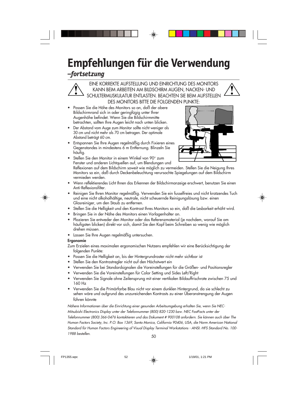# **Empfehlungen für die Verwendung**

# *–fortsetzung*

EINE KORREKTE AUFSTELLUNG UND EINRICHTUNG DES MONITORS KANN BEIM ARBEITEN AM BILDSCHIRM AUGEN, NACKEN- UND SCHULTERMUSKULATUR ENTLASTEN. BEACHTEN SIE BEIM AUFSTELLEN DES MONITORS BITTE DIE FOLGENDEN PUNKTE:

- **•** Passen Sie die Höhe des Monitors so an, daß der obere Bildschirmrand sich in oder geringfügig unter Ihrer Augenhöhe befindet. Wenn Sie die Bildschirmmitte betrachten, sollten Ihre Augen leicht nach unten blicken.
- **•** Der Abstand vom Auge zum Monitor sollte nicht weniger als 30 cm und nicht mehr als 70 cm betragen. Der optimale Abstand beträgt 60 cm.
- **•** Entspannen Sie Ihre Augen regelmäßig durch Fixieren eines Gegenstandes in mindestens 6 m Entfernung. Blinzeln Sie häufig.



**•** Stellen Sie den Monitor in einem Winkel von 90° zum Fenster und anderen Lichtquellen auf, um Blendungen und

Reflexionen auf dem Bildschirm soweit wie möglich zu vermeiden. Stellen Sie die Neigung Ihres Monitors so ein, daß durch Deckenbeleuchtung verursachte Spiegelungen auf dem Bildschirm vermieden werden.

- **•** Wenn reflektierendes Licht Ihnen das Erkennen der Bildschirmanzeige erschwert, benutzen Sie einen Anti-Reflexionsfilter.
- **•** Reinigen Sie Ihren Monitor regelmäßig. Verwenden Sie ein fusselfreies und nicht kratzendes Tuch und eine nicht alkoholhältige, neutrale, nicht scheuernde Reinigungslösung bzw. einen Glasreiniger, um den Staub zu entfernen.
- **•** Stellen Sie die Helligkeit und den Kontrast Ihres Monitors so ein, daß die Lesbarkeit erhöht wird.
- **•** Bringen Sie in der Nähe des Monitors einen Vorlagenhalter an.
- **•** Plazieren Sie entweder den Monitor oder das Referenzmaterial (je nachdem, worauf Sie am häufigsten blicken) direkt vor sich, damit Sie den Kopf beim Schreiben so wenig wie möglich drehen müssen.
- **•** Lassen Sie Ihre Augen regelmäßig untersuchen.

### **Ergonomie**

- Zum Erzielen eines maximalen ergonomischen Nutzens empfehlen wir eine Berücksichtigung der folgenden Punkte:
- Passen Sie die Helligkeit an, bis der Hintergrundraster nicht mehr sichtbar ist
- Stellen Sie den Kontrastregler nicht auf den Höchstwert ein
- Verwenden Sie bei Standardsignalen die Voreinstellungen für die Größen- und Positionsregler
- Verwenden Sie die Voreinstellungen für Color Setting und Sides Left/Right
- Verwenden Sie Signale ohne Zeilensprung mit einer vertikalen Bildauffrischrate zwischen 75 und 160 Hz
- Verwenden Sie die Primärfarbe Blau nicht vor einem dunklen Hintergrund, da sie schlecht zu sehen wäre und aufgrund des unzureichenden Kontrasts zu einer Überanstrengung der Augen führen könnte

50 Nähere Informationen über die Einrichtung einer gesunden Arbeitsumgebung erhalten Sie, wenn Sie NEC-Mitsubishi Electronics Display unter der Telefonnummer (800) 820-1230 bzw. NEC FastFacts unter der Telefonnummer (800) 366-0476 kontaktieren und das Dokument # 900108 anfordern. Sie können auch über The Human Factors Society, Inc. P.O. Box 1369, Santa Monica, California 90406, USA, die Norm American National Standard für Human Factors Engineering of Visual Display Terminal Workstations - ANSI.-HFS Standard No. 100- 1988 bestellen.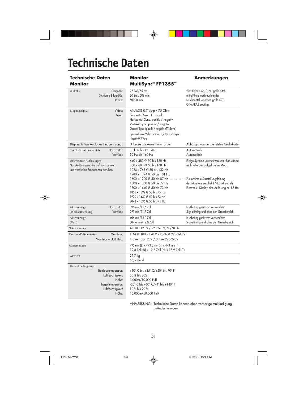# **Technische Daten**

| <b>Technische Daten</b><br><b>Monitor</b>                                                                                | <b>Monitor</b><br>MultiSync® FP1355™                                                                                                                                                                                                                    | <b>Anmerkungen</b>                                                                                                                                                                                             |
|--------------------------------------------------------------------------------------------------------------------------|---------------------------------------------------------------------------------------------------------------------------------------------------------------------------------------------------------------------------------------------------------|----------------------------------------------------------------------------------------------------------------------------------------------------------------------------------------------------------------|
| Diagonal:<br>Bildröhre<br>Sichtbare Bildgröße:<br>Radius:                                                                | 22 Zoll/55 cm<br>20 Zoll/508 mm<br>50000 mm                                                                                                                                                                                                             | 90° Ablenkung, 0,24 grille pitch,<br>mittel/kurz nachleuchtendes<br>Leuchtmittel, aperture grille CRT,<br>G-WARAS coating.                                                                                     |
| Video:<br>Eingangssignal<br>Sync:                                                                                        | ANALOG 0,7 Vp-p / 75 Ohm<br>Separate Sync. TTL-Level<br>Horizontal Sync. positiv / negativ<br>Vertikal Sync. positiv / negativ<br>Gesamt Sync. (positiv / negativ) (TTL-Level)<br>Sync on Green-Video (positiv), 0,7 Vp-p und sync.<br>Negativ 0,3 Vp-p |                                                                                                                                                                                                                |
| Display-Farben Analoges Eingangssignal:                                                                                  | Unbegrenzte Anzahl von Farben                                                                                                                                                                                                                           | Abhängig von der benutzten Grafikkarte.                                                                                                                                                                        |
| Horizontal:<br>Synchronisationsbereich<br>Vertikal:                                                                      | 30 kHz bis 121 kHz<br>50 Hz bis 160 Hz                                                                                                                                                                                                                  | Automatisch<br>Automatisch                                                                                                                                                                                     |
| Unterstützte Auflösungen<br>Nur Auflösungen, die auf horizontalen<br>und vertikalen Frequenzen beruhen                   | 640 x 480 @ 50 bis 160 Hz<br>800 x 600 @ 50 bis 160 Hz<br>1024 x 768 @ 50 bis 132 Hz<br>1280 x 1024 @ 50 bis 101 Hz<br>1600 x 1200 @ 50 bis 87 Hz<br>1800 x 1350 @ 50 bis 77 Hz<br>1800 x 1440 @ 50 bis 73 Hz<br>1856 x 1392 @ 50 bis 75 Hz             | Einige Systeme unterstützen unter Umstände<br>nicht alle der aufgelisteten Modi.<br>Für optimale Darstellungsleitung<br>des Monitors empfiehlt NEC-Mitsubishi<br>Electronics Display eine Auflösung bei 85 Hz. |
| Horizontal:<br>Aktivanzeige                                                                                              | 1920 x 1440 @ 50 bis 73 Hz<br>2048 x 1536 @ 50 bis 75 Hz<br>396 mm/15,6 Zoll                                                                                                                                                                            | In Abhängigkeit vom verwendeten                                                                                                                                                                                |
| Vertikal:<br>(Werkseinstellung)                                                                                          | 297 mm/11,7 Zoll                                                                                                                                                                                                                                        | Signaltiming und ohne den Grenzbereich.                                                                                                                                                                        |
| Aktivanzeige<br>(Voll)                                                                                                   | 406 mm/16,0 Zoll<br>304,6 mm/12,0 Zoll                                                                                                                                                                                                                  | In Abhängigkeit vom verwendeten<br>Signaltiming und ohne den Grenzbereich.                                                                                                                                     |
| Netzspannung                                                                                                             | AC 100-120 V / 220-240 V, 50/60 Hz                                                                                                                                                                                                                      |                                                                                                                                                                                                                |
| Moniteur:<br>Tension d'alimentation<br>Moniteur + USB Hub:                                                               | 1.4A @ 100 - 120 V / 0.7A @ 220-240 V<br>1.55A 100-120V / 0.75A 220-240V                                                                                                                                                                                |                                                                                                                                                                                                                |
| Abmessungen                                                                                                              | 495 mm (B) x 493,5 mm (H) x 473 mm (T)<br>19,8 Zoll (B) x 19,7 Zoll (H) x 18,9 Zoll (T)                                                                                                                                                                 |                                                                                                                                                                                                                |
| Gewicht                                                                                                                  | 29,7 kg<br>65,5 Pfund                                                                                                                                                                                                                                   |                                                                                                                                                                                                                |
| Umweltbedingungen<br>Betriebstemperatur:<br>Luftfeuchtigkeit:<br>Höhe:<br>Lagertemperatur:<br>Luftfeuchtigkeit:<br>Höhe: | +10° C bis +35° C/+50° bis 90° F<br>30 % bis 80%<br>3,000m/10,000 Fuß<br>$-20^{\circ}$ C bis +60 $^{\circ}$ C/-4 $^{\circ}$ bis +140 $^{\circ}$ F<br>10 % bis 90 %<br>15,000m/50,000 Fuß                                                                |                                                                                                                                                                                                                |
|                                                                                                                          | ANMERKUNG: Technische Daten können ohne vorherige Ankündigung                                                                                                                                                                                           |                                                                                                                                                                                                                |

 $\Rightarrow$ 

geändert werden.

51

 $\Rightarrow$ 

FP1355.wpc 53 1/19/01, 1:21 PM

 $\clubsuit$ 

 $\overline{\overline{\phantom{a}}\phantom{a}}$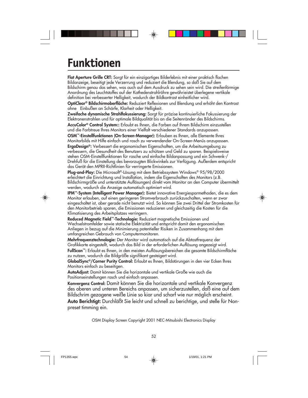# **Funktionen**

**Flat Aperture Grille CRT:** Sorgt für ein einzigartiges Bilderlebnis mit einer praktisch flachen Bildanzeige, beseitigt jede Verzerrung und reduziert die Blendung, so daß Sie auf dem Bildschirm genau das sehen, was auch auf dem Ausdruck zu sehen sein wird. Die streifenförmige Anordnung des Leuchtstoffes auf der Kathedenstrahlröhre gewährieistet überlegene vertikale definition bei verbesserter Helligkeit, wodurch der Bildkontrast einheitlicher wird.

**OptiClear® Bildschirmoberfläche:** Reduziert Reflexionen und Blendung und erhöht den Kontrast ohne Einbußen an Schärfe, Klarheit oder Helligkeit.

**Zweifache dynamische Strahlfokussierung:** Sorgt für präzise kontinuierliche Fokussierung der Elektronenstrahlen und für optimale Bildqualität bis an die Seitenränder des Bildschirms. **AccuColor® Control System::** Erlaubt es Ihnen, die Farben auf Ihrem Bildschirm einzustellen und die Farbtreue Ihres Monitors einer Vielfalt verschiedener Standards anzupassen. **OSM™-Einstellfunktionen (On-Screen-Manager):** Erlauben es Ihnen, alle Elemente Ihres Monitorbilds mit Hilfe einfach und rasch zu verwendender On-Screen-Menüs anzupassen.

**ErgoDesign®:** Verbessert die ergonomischen Eigenschaften, um die Arbeitsumgebung zu verbessern, die Gesundheit des Benutzers zu schützen und Geld zu sparen. Beispielsweise stehen OSM-Einstellfunktionen für rasche und einfache Bildanpassung und ein Schwenk-/ Drehfuß für die Einstellung des bevorzugten Blickwinkels zur Verfügung. Außerdem entspricht das Gerät den MPRII-Richtlinien für verringerte Emissionen.

**Plug-and-Play:** Die Microsoft®-Lösung mit dem Betriebssystem Windows® 95/98/2000 erleichtert die Einrichtung und Installation, indem die Eigenschaften des Monitors (z.B. Bildschirmgröße und unterstützte Auflösungen) direkt vom Monitor an den Computer übermittelt werden, wodurch die Anzeige automatisch optimiert wird.

**IPM™-System (Intelligent Power Manager):** Bietet innovative Energiesparmethoden, die es dem Monitor erlauben, auf einen geringeren Stromverbrauch zurückzuschalten, wenn er zwar eingeschaltet ist, aber gerade nicht benutzt wird. So können Sie zwei Drittel der Stromkosten für den Monitorbetrieb sparen, die Emissionen reduzieren und gleichzeitig die Kosten für die Klimatisierung des Arbeitsplatzes verringern.

**Reduced Magnetic Field™-Technologie:** Reduziert magnetische Emissionen und Wechselstromfelder sowie statische Elektrizität und entspricht damit den ergonomischen Anliegen in bezug auf die Minimierung potentieller Risiken in Zusammenhang mit dem umfangreichen Gebrauch von Computermonitoren.

**Mehrfrequenztechnologie:** Der Monitor wird automatisch auf die Abtastfrequenz der Grafikkarte eingestellt, wodurch das Bild in der erforderlichen Auflösung angezeigt wird. **FullScan™:** Erlaubt es Ihnen, in den meisten Auflösungsbereichen die gesamte Bildschirmfläche zu nutzen, wodurch die Bildgröße signifikant gesteigert wird.

**GlobalSync®/Corner Purity Control:** Erlaubt es lhnen, Bildstörungen in den vier Ecken lhres Monitors einfach zu beseitigen.

**AutoAdjust:** Damit können Sie die horizontale und vertikale Große wie auch die Positionseinstellungen rasch und einfach anpassen.

**Konvergenz Control:** Damit können Sie die horizontale und vertikale Konvergenz des oberen und unteren Bereichs anpassen, um sicherzustellen, daß eine auf dem Bildschrim gezogene weiße Linie so kiar und scharf wie nur möglich erscheint.

**Auto Berichtigt:** Durchläßt Sie leicht und schnell zu berichtige, und stelle für Nonpreset timming ein.

OSM Display Screen Copyright 2001 NEC-Mitsubishi Electronics Display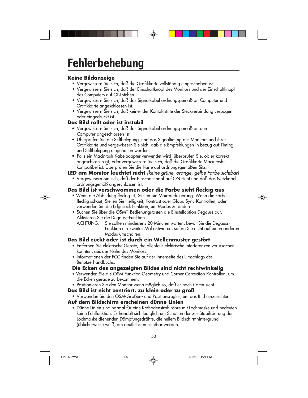# **Fehlerbehebung**

## **Keine Bildanzeige**

- Vergewissern Sie sich, daß die Grafikkarte vollständig eingeschoben ist.
- Vergewissern Sie sich, daß der Einschaltknopf des Monitors und der Einschaltknopf des Computers auf ON stehen.
- Vergewissern Sie sich, daß das Signalkabel ordnungsgemäß an Computer und Grafikkarte angeschlossen ist.
- Vergewissern Sie sich, daß keiner der Kontaktstifte der Steckverbindung verbogen oder eingedrückt ist.

### **Das Bild rollt oder ist instabil**

- Vergewissern Sie sich, daß das Signalkabel ordnungsgemäß an den Computer angeschlossen ist.
- Überprüfen Sie die Stiftbelegung und das Signaltiming des Monitors und ihrer Grafikkarte und vergewissern Sie sich, daß die Empfehlungen in bezug auf Timing und Stiftbelegung eingehalten werden.
- Falls ein Macintosh-Kabeladapter verwendet wird, überprüfen Sie, ob er korrekt angeschlossen ist, oder vergewissern Sie sich, daß die Grafikkarte Macintoshkompatibel ist. Überprüfen Sie die Karte auf ordnungsgemäßen Sitz.

#### **LED am Monitor leuchtet nicht** (keine grüne, orange, gelbe Farbe sichtbar)

• Vergewissern Sie sich, daß der Einschaltknopf auf ON steht und daß das Netzkabel ordnungsgemäß angeschlossen ist.

### **Das Bild ist verschwommen oder die Farbe sieht fleckig aus**

- Wenn die Abbildung flockig ist, Stellen Sie Moirereduzierung. Wenn die Farbe fleckig schaut, Stellen Sie Helligkeit, Kontrast oder GlobalSync-Kontrollen, oder verwenden Sie die EdgeLock Funktion, um Modus zu ändern.
- Suchen Sie über die OSM™-Bedienungstasten die Einstelloption Degauss auf. Aktivieren Sie die Degauss-Funktion.
	- ACHTUNG: Sie sollten mindestens 20 Minuten warten, bevor Sie die Degauss-Funktion ein zweites Mal aktivieren, sofern Sie nicht auf einen anderen Modus umschalten.

### **Das Bild zuckt oder ist durch ein Wellenmuster gestört**

- Entfernen Sie elektrische Geräte, die allenfalls elektrische Interferenzen verursachen könnten, aus der Nähe des Monitors.
- Informationen der FCC finden Sie auf der Innenseite des Umschlags des Benutzerhandbuchs.

### **Die Ecken des angezeigten Bildes sind nicht rechtwinkelig**

- Verwenden Sie die OSM-Funktion Geometry und Corner Correction Kontrollen, um die Ecken gerade zu bekommen.
- Positionieren Sie den Monitor wenn möglich so, daß er nach Osten sieht.

### **Das Bild ist nicht zentriert, zu klein oder zu groß**

• Verwenden Sie den OSM-Größen- und Positionsregler, um das Bild einzurichten.

# **Auf dem Bildschirm erscheinen dünne Linien**

• Dünne Linien sind normal für eine Kathodenstrahlröhre mit Lochmaske und bedeuten keine Fehlfunktion. Es handelt sich lediglich um Schatten der zur Stabilisierung der Lochmaske dienenden Dämpfungsdrähte, die hellem Bildschirmhintergrund (üblicherweise weiß) am deutlichsten sichtbar werden.

FP1355.wpc 55 1/19/01, 1:21 PM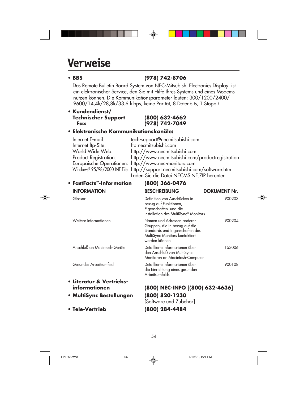# **Verweise**

 $\bigoplus$ 

# **• BBS (978) 742-8706**

Das Remote Bulletin Board System von NEC-Mitsubishi Electronics Display ist ein elektronischer Service, den Sie mit Hilfe Ihres Systems und eines Modems nutzen können. Die Kommunikationsparameter lauten: 300/1200/2400/ 9600/14,4k/28,8k/33.6 k bps, keine Parität, 8 Datenbits, 1 Stopbit

⊕

# **• Kundendienst/ Technischer Support (800) 632-4662 Fax (978) 742-7049**

## **• Elektronische Kommunikationskanäle:**

| Internet E-mail:      | tech-support@necmitsubishi.com                                              |
|-----------------------|-----------------------------------------------------------------------------|
| Internet ftp-Site:    | ftp.necmitsubishi.com                                                       |
| World Wide Web:       | http://www.necmitsubishi.com                                                |
| Product Registration: | http://www.necmitsubishi.com/productregistration                            |
|                       | Europäische Operationen: http://www.nec-monitors.com                        |
|                       | Windows® 95/98/2000 INF File: http://support.necmitsubishi.com/software.htm |
|                       | Laden Sie die Datei NECMSINF.ZIP herunter                                   |

| ● FastFacts™-Information     | (800) 366-0476                                                                                                                                    |                     |
|------------------------------|---------------------------------------------------------------------------------------------------------------------------------------------------|---------------------|
| <b>INFORMATION</b>           | <b>BESCHREIBUNG</b>                                                                                                                               | <b>DOKUMENT Nr.</b> |
| Glossar                      | Definition von Ausdrücken in<br>bezug auf Funktionen,<br>Eigenschaften und die<br>Installation des MultiSync <sup>®</sup> Monitors                | 900203              |
| Weitere Informationen        | Namen und Adressen anderer<br>Gruppen, die in bezug auf die<br>Standards und Eigenschaften des<br>MultiSync Monitors kontaktiert<br>werden können | 900204              |
| Anschluß an Macintosh-Geräte | Detaillierte Informationen über<br>den Anschluß von MultiSync<br>Monitoren an Macintosh-Computer                                                  | 153006              |
| Gesundes Arbeitsumfeld       | Detaillierte Informationen über<br>die Einrichtung eines gesunden<br>Arbeitsumfelds                                                               | 900108              |
| • Literatur & Vertriebs-     |                                                                                                                                                   |                     |
| informationen                | (800) NEC-INFO [(800) 632-4636]                                                                                                                   |                     |
| • MultiSync Bestellungen     | (800) 820-1230<br>[Software und Zubehör]                                                                                                          |                     |
| • Tele-Vertrieb              | (800) 284-4484                                                                                                                                    |                     |

FP1355.wpc 56 1/19/01, 1:21 PM

⊕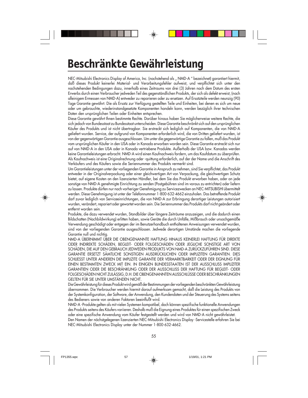# **Beschränkte Gewährleistung**

NEC-Mitsubishi Electronics Display of America, Inc. (nachstehend als " NMD-A " bezeichnet) garantiert hiermit, daß dieses Produkt keinerlei Material- und Verarbeitungsfehler aufweist, und verpflichtet sich unter den nachstehenden Bedingungen dazu, innerhalb eines Zeitraums von drei (3) Jahren nach dem Datum des ersten Erwerbs durch einen Verbraucher jedweden Teil des gegenständlichen Produkts, der sich als defekt erweist, (nach alleinigem Ermessen von NMD-A) entweder zu reparieren oder zu ersetzen. Auf Ersatzteile werden neunzig (90) Tage Garantie gewährt. Die als Ersatz zur Verfügung gestellten Teile und Einheiten, bei denen es sich um neue oder um gebrauchte, wiederinstandgesetzte Komponenten handeln kann, werden bezüglich ihrer technischen Daten den ursprünglichen Teilen oder Einheiten entsprechen.

Diese Garantie gewährt Ihnen bestimmte Rechte. Darüber hinaus haben Sie möglicherweise weitere Rechte, die sich jedoch von Bundesstaat zu Bundesstaat unterscheiden. Diese Garantie beschränkt sich auf den ursprünglichen Käufer des Produkts und ist nicht übertragbar. Sie erstreckt sich lediglich auf Komponenten, die von NMD-A geliefert wurden. Service, der aufgrund von Komponenten erforderlich wird, die von Dritten geliefert wurden, ist von der gegenwärtigen Garantie ausgeschlossen. Um unter die gegenwärtige Garantie zu fallen, muß das Produkt vom ursprünglichen Käufer in den USA oder in Kanada erworben worden sein. Diese Garantie erstreckt sich nur auf von NMD-A in den USA oder in Kanada vertriebene Produkte. Außerhalb der USA bzw. Kanadas werden keine Garantieleistungen erbracht. NMD-A wird einen Kaufnachweis fordern, um das Kaufdatum zu überprüfen. Als Kaufnachweis ist eine Originalrechnung oder -quittung erforderlich, auf der der Name und die Anschrift des Verkäufers und des Käufers sowie die Seriennummer des Produkts vermerkt sind.

Um Garantieleistungen unter der vorliegenden Garantie in Anspruch zu nehmen, sind Sie verpflichtet, das Produkt entweder in der Originalverpackung oder einer gleichwertigen Art von Verpackung, die gleichwertigen Schutz bietet, auf eigene Kosten an den lizenzierten Händler, bei dem Sie das Produkt erworben haben, oder an jede sonstige von NMD-A genehmigte Einrichtung zu senden (Postgebühren sind im voraus zu entrichten) oder liefern zu lassen. Produkte dürfen nur nach vorheriger Genehmigung zu Servicezwecken an NEC-MITSUBISHI übermittelt werden. Diese Genehmigung ist unter der Telefonnummer 1-800-632-4662 einzuholen. Das betreffende Produkt darf zuvor lediglich von Serviceeinrichtungen, die von NMD-A zur Erbringung derartiger Leistungen autorisiert wurden, verändert, repariert oder gewartet worden sein. Die Seriennummer des Produkts darf nicht geändert oder entfernt worden sein.

Produkte, die dazu verwendet wurden, Standbilder über längere Zeiträume anzuzeigen, und die dadurch einen Bildschatten (Nachbildwirkung) erlitten haben, sowie Geräte die durch Unfälle, Mißbrauch oder unsachgemäße Verwendung geschädigt oder entgegen der im Benutzerhandbuch enthaltenen Anweisungen verwendet wurden, sind von der vorliegenden Garantie ausgeschlossen. Jedwede derartigen Umstände machen die vorliegende Garantie null und nichtig.

NMD-A ÜBERNIMMT ÜBER DIE OBENGENANNTE HAFTUNG HINAUS KEINERLEI HAFTUNG FÜR DIREKTE ODER INDIREKTE SCHÄDEN, BEGLEIT- ODER FOLGESCHÄDEN ODER JEGLICHE SONSTIGE ART VON SCHÄDEN, DIE AUF DEN GEBRAUCH JEDWEDEN PRODUKTS VON NMD-A ZURÜCKZUFÜHREN SIND. DIESE GARANTIE ERSETZT SÄMTLICHE SONSTIGEN AUSDRÜCKLICHEN ODER IMPLIZITEN GARANTIEN. DIES SCHLIESST UNTER ANDEREN DIE IMPLIZITE GARANTIE DER VERMARKTBARKEIT ODER DER EIGNUNG FÜR EINEN BESTIMMTEN ZWECK MIT EIN. IN EINIGEN BUNDESSTAATEN IST DER AUSSCHLUSS IMPLIZITER GARANTIEN ODER DIE BESCHRÄNKUNG ODER DER AUSSCHLUSS DER HAFTUNG FÜR BEGLEIT- ODER FOLGESCHÄDEN NICHT ZULÄSSIG, D.H. DIE OBENGENANNTEN AUSSCHLÜSSE ODER BESCHRÄNKUNGEN GELTEN FÜR SIE UNTER UMSTÄNDEN NICHT.

Die Gewährleistung für dieses Produkt wird gemäß der Bestimmungen der vorliegenden beschränkten Gewährleistung übernommen. Die Verbraucher werden hiermit darauf aufmerksam gemacht, daß die Leistung des Produkts von der Systemkonfiguration, der Software, der Anwendung, den Kundendaten und der Steuerung des Systems seitens des Bedieners sowie von anderen Faktoren beeinflußt wird.

NMD-A -Produkte gelten als mit vielen Systemen kompatibel, doch können spezifische funktionelle Anwendungen des Produkts seitens des Käufers variieren. Deshalb muß die Eignung eines Produktes für einen spezifischen Zweck oder eine spezifische Anwendung vom Käufer festgestellt werden und wird von NMD-A nicht gewährleistet. Den Namen der nächstgelegenen lizenzierten NEC-Mitsubishi Electronics Display -Servicestelle erfahren Sie bei

NEC-Mitsubishi Electronics Display unter der Nummer 1-800-632-4662.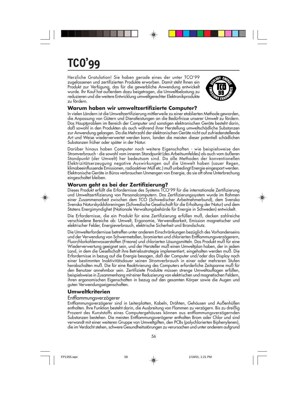# **TCO'99**

Herzliche Gratulation! Sie haben gerade eines der unter TCO'99 zugelassenen und zertifizierten Produkte erworben. Damit steht lhnen ein Produkt zur Verfügung, das für die gewerbliche Anwendung entwickelt wurde. Ihr Kauf hat außerdem dazu beigetragen, die Umweltbelastung zu reduzieren und die weitere Entwicklung umweltgerechter Elektronikprodukte zu fördern.



### **Warum haben wir umweltzertifizierte Computer?**

In vielen Ländern ist die Umweltzertifizierung mittlerweile zu einer etablierten Methode geworden, die Anpassung von Gütern und Dienstleistungen an die Bedürfnisse unserer Umwelt zu fördern. Das Hauptproblem im Bereich der Computer und sonstigen elektronischen Geräte besteht darin, daß sowohl in den Produkten als auch während ihrer Herstellung umweltschädliche Substanzen zur Anwendung gelangen. Da die Mehrzahl der elektronischen Geräte nicht auf zufriedenstellende Art und Weise wiederverwertet werden kann, landen die meisten dieser potentiell schädlichen Substanzen früher oder später in der Natur.

Darüber hinaus haben Computer noch weitere Eigenschaften - wie beispielsweise den Stromverbrauch - die sowohl vom inneren Standpunkt (des Arbeitsumfeldes) als auch vom äußeren Standpunkt (der Umwelt) her bedeutsam sind. Da alle Methoden der konventionellen Elektrizitätserzeugung negative Auswirkungen auf die Umwelt haben (sauer Regen, klimabeeinflussende Emissionen, radioaktiver Müll etc.) muß unbedingt Energie eingespart werden. Elektronische Geräte in Büros verbrauchen Unmengen von Energie, da sie oft ohne Unterbrechung eingeschaltet bleiben.

### **Worum geht es bei der Zertifizierung?**

Dieses Produkt erfüllt die Erfordernisse des Systems TCO'99 für die internationale Zertifizierung und Umweltzertifizierung von Personalcomputern. Das Zertifizierungssystem wurde im Rahmen einer Zusammenarbeit zwischen dem TCO (Schwedischer Arbeitnehmerbund), dem Svenska Svenska Naturskyddsforeningen (Schwedische Geselischaft für die Erhaltung der Natur) und dem Statens Energimyndighet (Nationale Verwaltungsbehörde für Energie in Schweden) entwickelt.

Die Erfordernisse, die ein Produkt für eine Zertifizierung erfüllen muß, decken zahlreiche verschiedene Bereiche ab: Umwelt, Ergonomie, Verwendbarkeit, Emission magnetischer und elektrischer Felder, Energieverbrauch, elektrische Sicherheit und Brandschutz.

Die Umwelterfordernisse betreffen unter anderem Einschränkungen bezüglich des Vorhandenseins und der Verwendung von Schwermetallen, bromierten und chlorierten Entflammungsverzögerern, Fluorchlorkohlenwasserstoffen (Freone) und chlorierten Lösungsmitteln. Das Produkt muß für eine Wiederverwertung geeignet sein, und der Hersteller muß einen Umweltplan haben, der in jedem Land, in dem die Gesellschaft ihre Betriebsstrategie implementiert, eingehalten werden muß. Die Erfordernisse in bezug auf die Energie besagen, daß der Computer und/oder das Display nach einer bestimmten Inaktivitätsdauer seinen Stromverbrauch in einer oder mehreren Stufen herabschalten muß. Die für eine Reaktivierung des Computers erforderliche Zeitspanne muß für den Benutzer annehmbar sein. Zertifiziete Produkte müssen strenge Umweltauflagen erfüllen, beispielsweise in Zusammenhang mit einer Reduzierung von elektrischen und magnetischen Feldern, ihren ergonomischen Eigenschaften in bezug auf den gesamten Körper sowie die Augen und guten Verwendungseigenschaften.

### **Umweltkriterien**

#### Entflammungsverzögerer

Entflammungsverzögerer sind in Leiterplatten, Kabeln, Drähten, Gehäusen und Außenhüllen enthalten. Ihre Funktion besteht darin, die Ausbreitung von Flammen zu verzögern. Bis zu dreißig Prozent des Kunststoffs eines Computergehäuses können aus entflammungsverzögernden Substanzen bestehen. Die meisten Entflammungsverögerer enthalten Brom oder Chlor und sind verwandt mit einer weiteren Gruppe von Umweltgiften, den PCBs (polychlorierten Biphenylenen), die im Verdacht stehen, schwere Gesundheitsstörungen zu verursachen und unter anderem aufgrund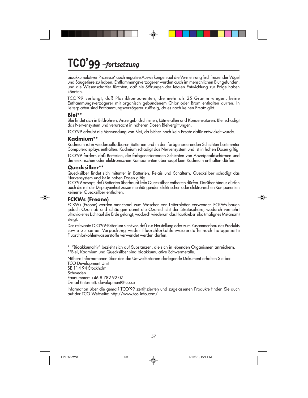# **TCO'99** *–fortsetzung*

bioakkumulativer Prozesse\* auch negative Auswirkungen auf die Vermehrung fischfressender Vögel und Säugetiere zu haben. Entflammungsverzögerer wurden auch im menschlichen Blut gefunden, und die Wissenschaftler fürchten, daß sie Störungen der fetalen Entwicklung zur Folge haben könnten.

TCO'99 verlangt, daß Plastikkomponenten, die mehr als 25 Gramm wiegen, keine Entflammungsverzögerer mit organisch gebundenem Chlor oder Brom enthalten dürfen. In Leiterplatten sind Entflammungsverzögerer zulässig, da es noch keinen Ersatz gibt.

#### **Blei\*\***

Blei findet sich in Bildröhren, Anzeigebildschirmen, Lötmetallen und Kondensatoren. Blei schädigt das Nervensystem und verursacht in höheren Dosen Bleivergiftungen.

TCO'99 erlaubt die Verwendung von Blei, da bisher noch kein Ersatz dafür entwickelt wurde.

#### **Kadmium\*\***

Kadmium ist in wiederaufladbaren Batterien und in den farbgenerierenden Schichten bestimmter Computerdisplays enthalten. Kadmium schädigt das Nervensystem und ist in hohen Dosen giftig.

TCO'99 fordert, daß Batterien, die farbgenerierenden Schichten von Anzeigebildschirmen und die elektrischen oder elektronischen Komponenten überhaupt kein Kadmium enthalten dürfen.

### **Quecksilber\*\***

Quecksilber findet sich mitunter in Batterien, Relais und Schaltern. Quecksilber schädigt das Nervensystem und ist in hohen Dosen giftig.

TCO'99 besagt, daß Batterien überhaupt kein Quecksilber enthalten dürfen. Darüber hinaus dürfen auch die mit der Displayeinheit zusammenhängenden elektrischen oder elektronischen Komponenten keinerlei Quecksilber enthalten.

### **FCKWs (Freone)**

FCKWs (Freone) werden manchmal zum Waschen von Leiterplatten verwendet. FCKWs bauen jedoch Ozon ab und schädigen damit die Ozonschicht der Stratosphäre, wodurch vermehrt ultraviolettes Licht auf die Erde gelangt, wodurch wiederum das Hautkrebsrisiko (malignes Melanom) steigt.

Das relevante TCO'99-Kriterium sieht vor, daß zur Herstellung oder zum Zusammenbau des Produkts sowie zu seiner Verpackung weder Fluorchlorkohlenwasserstoffe noch halogenierte Fluorchlorkohlenwasserstoffe verwendet werden dürfen.

\* "Bioakkumaltiv" bezieht sich auf Substanzen, die sich in lebenden Organismen anreichern. \*\*Blei, Kadmium und Quecksilber sind bioakkumulative Schwermetalle.

Nähere Informationen über das die Umweltkriterien darlegende Dokument erhalten Sie bei: TCO Development Unit

SE 114 94 Stockholm Schweden

Faxnummer: +46 8 782 92 07

E-mail (Internet): development@tco.se

Information über die gemäß TCO'99 zertifizierten und zugelassenen Produkte finden Sie auch auf der TCO-Webseite: http://www.tco-info.com/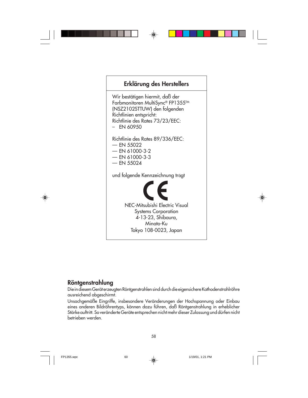

# **Röntgenstrahlung**

Die in diesem Gerät erzeugten Röntgenstrahlen sind durch die eigensichere Kathodenstrahlröhre ausreichend abgeschirmt.

Unsachgemäße Eingriffe, insbesondere Veränderungen der Hochspannung oder Einbau eines anderen Bildröhrentyps, können dazu führen, daß Röntgenstrahlung in erheblicher Stärke auftritt. So veränderte Geräte entsprechen nicht mehr dieser Zulassung und dürfen nicht betrieben werden.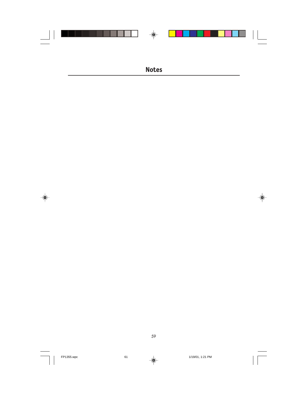| .<br><u>Aliye</u> | $\bigoplus$  | 1 1 1 1 1<br>. .<br>. |  |
|-------------------|--------------|-----------------------|--|
|                   |              |                       |  |
|                   | <b>Notes</b> |                       |  |

59

 $\Rightarrow$ 

 $\overline{\overline{\Gamma}}$ 

 $\Rightarrow$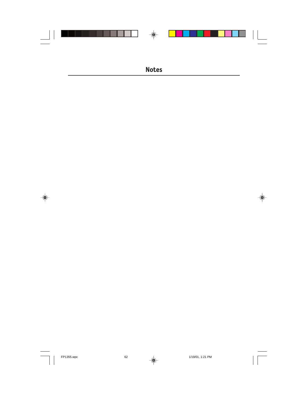|  | $\bigoplus$  | . |  |
|--|--------------|---|--|
|  |              |   |  |
|  |              |   |  |
|  | <b>Notes</b> |   |  |

 $\Rightarrow$ 



 $\overline{\blacklozenge}$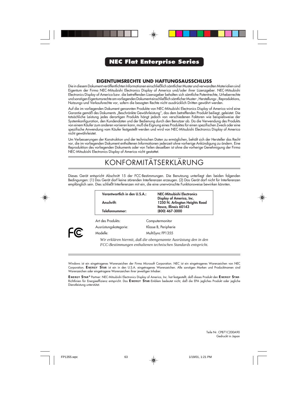

# **NEC Flat Enterprise Series**

### **EIGENTUMSRECHTE UND HAFTUNGSAUSSCHLUSS**

Die in diesem Dokument veröffentlichten Informationen einschließlich sämtlicher Muster und verwandten Materialien sind Eigentum der Firma NEC-Mitsubishi Electronics Display of America und/oder ihrer Lizenzgeber. NEC-Mitsubishi Electronics Display of America bzw. die betreffenden Lizenzgeber behalten sich sämtliche Patentrechte, Urheberrechte und sonstigen Eigentumsrechte am vorliegenden Dokument einschließlich sämtlicher Muster-, Herstellungs-, Reproduktions, Nutzungs-und Verkaufsrechte vor, sofern die besagten Rechte nicht ausdrücklich Dritten gewährt werden.

Auf die im vorliegenden Dokument genannten Produkte von NEC-Mitsubishi Electronics Display of America wird eine Garantie gemäß des Dokuments "Beschränkte Gewährleistung", das dem betreffenden Produkt beiliegt, geleistet. Die tatsächliche Leistung jedes derartigen Produkts hängt jedoch von verschiedenen Faktoren wie beispielsweise der Systemkonfiguration, den Kundendaten und der Bedienung durch den Benutzer ab. Da die Verwendung des Produkts von einem Käufer zum anderen variieren kann, muß die Eignung eines Produktes für einen spezifischen Zweck oder eine spezifische Anwendung vom Käufer festgestellt werden und wird von NEC-Mitsubishi Electronics Display of America nicht gewährleistet.

Um Verbesserungen der Konstruktion und der technischen Daten zu ermöglichen, behält sich der Hersteller das Recht vor, die im vorliegenden Dokument enthaltenen Informationen jederzeit ohne vorherige Ankündigung zu ändern. Eine Reproduktion des vorliegenden Dokuments oder von Teilen desselben ist ohne die vorherige Genehmigung der Firma NEC-Mitsubishi Electronics Display of America nicht gestattet.

# KONFORMITÄTSERKLÄRUNG

Dieses Gerät entspricht Abschnitt 15 der FCC-Bestimmungen. Die Benutzung unterliegt den beiden folgenden Bedingungen: (1) Das Gerät darf keine störenden Interferenzen erzeugen. (2) Das Gerät darf nicht für Interferenzen empfänglich sein. Dies schließt Interferenzen mit ein, die eine unerwünschte Funktionsweise bewirken könnten.

| Verantwortlich in den U.S.A.: | <b>NEC-Mitsubishi Electronics</b><br>Display of America, Inc.    |
|-------------------------------|------------------------------------------------------------------|
| Anschrift:                    | 1250 N. Arlington Heights Road<br>Itasca, Illinois 60143         |
| Telefonnummer:                | (800) 467-3000                                                   |
| Art des Produkts:             | Computermonitor                                                  |
| Ausrüstungskategorie:         | Klasse B, Peripherie                                             |
| Modelle:                      | MultiSync FP1355                                                 |
|                               | Wir erklären hiermit, daß die obenoenannte Ausrüstung den in den |

*Wir erklären hiermit, daß die obengenannte Ausrüstung den in den FCC-Bestimmungen enthaltenen technischen Standards entspricht.*

Windows ist ein eingetragenes Warenzeichen der Firma Microsoft Corporation. NEC ist ein eingetragenes Warenzeichen von NEC Corporation. **ENERGY STAR** ist ein in den U.S.A. eingetragenes Warenzeichen. Alle sonstigen Marken und Producktnamen sind Warenzeichen oder eingetragene Warenzeichen ihrer jeweiligen Inhaber.

**ENERGY STAR®** Partner: NEC-Mitsubishi Electronics Display of America, Inc. hat festgestellt, daß dieses Produkt den **ENERGY STAR**-Richtlinien für Energieeffizienz entspricht. Das **ENERGY STAR**-Emblem bedeutet nicht, daß die EPA jegliches Produkt oder jegliche Dienstleistung unterstützt.

FC